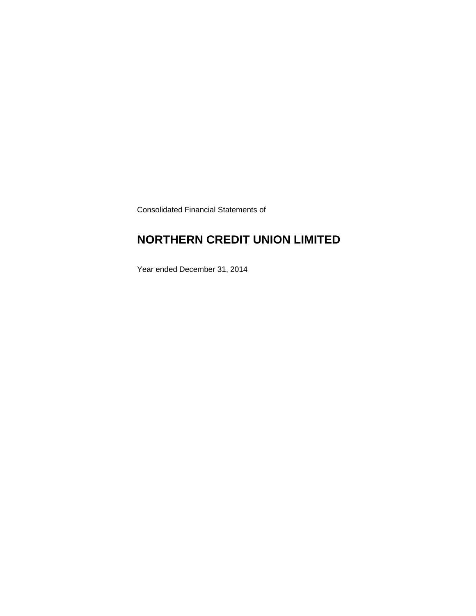Consolidated Financial Statements of

### **NORTHERN CREDIT UNION LIMITED**

Year ended December 31, 2014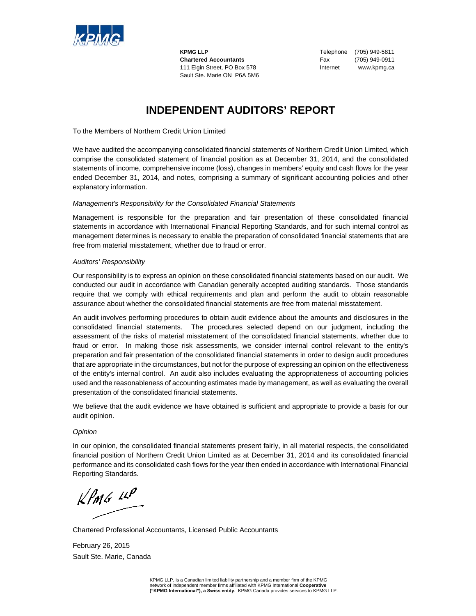

**Chartered Accountants** Fax (705) 949-0911 111 Elgin Street, PO Box 578 Internet www.kpmg.ca Sault Ste. Marie ON P6A 5M6

**KPMG LLP** Telephone (705) 949-5811

### **INDEPENDENT AUDITORS' REPORT**

To the Members of Northern Credit Union Limited

We have audited the accompanying consolidated financial statements of Northern Credit Union Limited, which comprise the consolidated statement of financial position as at December 31, 2014, and the consolidated statements of income, comprehensive income (loss), changes in members' equity and cash flows for the year ended December 31, 2014, and notes, comprising a summary of significant accounting policies and other explanatory information.

#### *Management's Responsibility for the Consolidated Financial Statements*

Management is responsible for the preparation and fair presentation of these consolidated financial statements in accordance with International Financial Reporting Standards, and for such internal control as management determines is necessary to enable the preparation of consolidated financial statements that are free from material misstatement, whether due to fraud or error.

#### *Auditors' Responsibility*

Our responsibility is to express an opinion on these consolidated financial statements based on our audit. We conducted our audit in accordance with Canadian generally accepted auditing standards. Those standards require that we comply with ethical requirements and plan and perform the audit to obtain reasonable assurance about whether the consolidated financial statements are free from material misstatement.

An audit involves performing procedures to obtain audit evidence about the amounts and disclosures in the consolidated financial statements. The procedures selected depend on our judgment, including the assessment of the risks of material misstatement of the consolidated financial statements, whether due to fraud or error. In making those risk assessments, we consider internal control relevant to the entity's preparation and fair presentation of the consolidated financial statements in order to design audit procedures that are appropriate in the circumstances, but not for the purpose of expressing an opinion on the effectiveness of the entity's internal control. An audit also includes evaluating the appropriateness of accounting policies used and the reasonableness of accounting estimates made by management, as well as evaluating the overall presentation of the consolidated financial statements.

We believe that the audit evidence we have obtained is sufficient and appropriate to provide a basis for our audit opinion.

#### *Opinion*

In our opinion, the consolidated financial statements present fairly, in all material respects, the consolidated financial position of Northern Credit Union Limited as at December 31, 2014 and its consolidated financial performance and its consolidated cash flows for the year then ended in accordance with International Financial Reporting Standards.

 $KPMG$   $\mu P$ 

Chartered Professional Accountants, Licensed Public Accountants

February 26, 2015 Sault Ste. Marie, Canada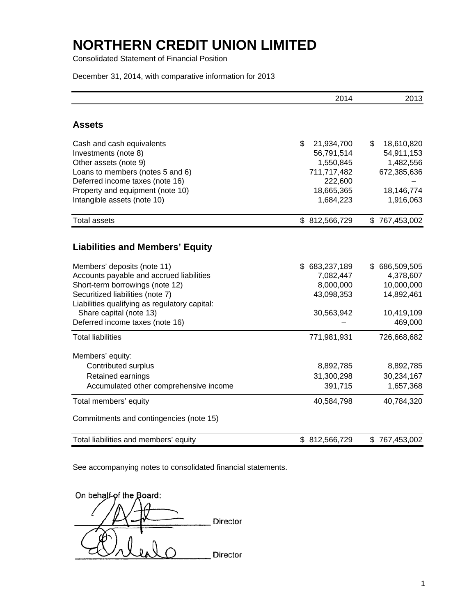Consolidated Statement of Financial Position

December 31, 2014, with comparative information for 2013

|                                               | 2014             | 2013             |
|-----------------------------------------------|------------------|------------------|
| <b>Assets</b>                                 |                  |                  |
| Cash and cash equivalents                     | \$<br>21,934,700 | \$<br>18,610,820 |
| Investments (note 8)                          | 56,791,514       | 54,911,153       |
| Other assets (note 9)                         | 1,550,845        | 1,482,556        |
| Loans to members (notes 5 and 6)              | 711,717,482      | 672,385,636      |
| Deferred income taxes (note 16)               | 222,600          |                  |
| Property and equipment (note 10)              | 18,665,365       | 18,146,774       |
| Intangible assets (note 10)                   | 1,684,223        | 1,916,063        |
| <b>Total assets</b>                           | \$812,566,729    | \$767,453,002    |
| <b>Liabilities and Members' Equity</b>        |                  |                  |
| Members' deposits (note 11)                   | \$683,237,189    | \$686,509,505    |
| Accounts payable and accrued liabilities      | 7,082,447        | 4,378,607        |
| Short-term borrowings (note 12)               | 8,000,000        | 10,000,000       |
| Securitized liabilities (note 7)              | 43,098,353       | 14,892,461       |
| Liabilities qualifying as regulatory capital: |                  |                  |
| Share capital (note 13)                       | 30,563,942       | 10,419,109       |
| Deferred income taxes (note 16)               |                  | 469,000          |
| <b>Total liabilities</b>                      | 771,981,931      | 726,668,682      |
| Members' equity:                              |                  |                  |
| Contributed surplus                           | 8,892,785        | 8,892,785        |
| Retained earnings                             | 31,300,298       | 30,234,167       |
| Accumulated other comprehensive income        | 391,715          | 1,657,368        |
| Total members' equity                         | 40,584,798       | 40,784,320       |
| Commitments and contingencies (note 15)       |                  |                  |
| Total liabilities and members' equity         | \$812,566,729    | \$767,453,002    |

On behalf-of the Board: Director leal Director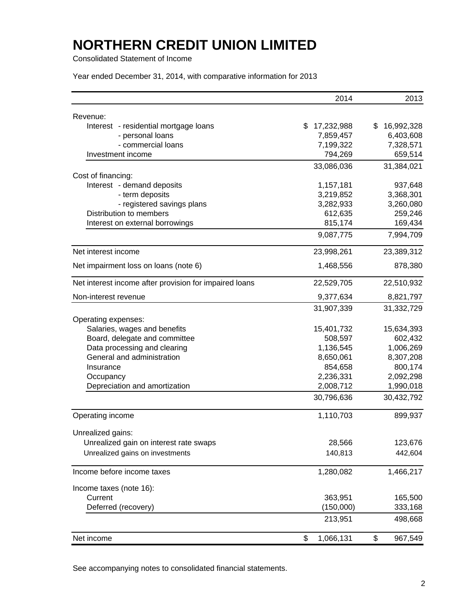Consolidated Statement of Income

Year ended December 31, 2014, with comparative information for 2013

|                                                        | 2014             | 2013             |
|--------------------------------------------------------|------------------|------------------|
| Revenue:                                               |                  |                  |
| Interest - residential mortgage loans                  | \$<br>17,232,988 | 16,992,328<br>\$ |
| - personal loans                                       | 7,859,457        | 6,403,608        |
| - commercial loans                                     | 7,199,322        | 7,328,571        |
| Investment income                                      | 794,269          | 659,514          |
|                                                        | 33,086,036       | 31,384,021       |
| Cost of financing:                                     |                  |                  |
| Interest - demand deposits                             | 1,157,181        | 937,648          |
| - term deposits                                        | 3,219,852        | 3,368,301        |
| - registered savings plans                             | 3,282,933        | 3,260,080        |
| Distribution to members                                | 612,635          | 259,246          |
| Interest on external borrowings                        | 815,174          | 169,434          |
|                                                        | 9,087,775        | 7,994,709        |
| Net interest income                                    | 23,998,261       | 23,389,312       |
| Net impairment loss on loans (note 6)                  | 1,468,556        | 878,380          |
| Net interest income after provision for impaired loans | 22,529,705       | 22,510,932       |
| Non-interest revenue                                   | 9,377,634        | 8,821,797        |
|                                                        | 31,907,339       | 31,332,729       |
| Operating expenses:                                    |                  |                  |
| Salaries, wages and benefits                           | 15,401,732       | 15,634,393       |
| Board, delegate and committee                          | 508,597          | 602,432          |
| Data processing and clearing                           | 1,136,545        | 1,006,269        |
| General and administration                             | 8,650,061        | 8,307,208        |
| Insurance                                              | 854,658          | 800,174          |
| Occupancy                                              | 2,236,331        | 2,092,298        |
| Depreciation and amortization                          | 2,008,712        | 1,990,018        |
|                                                        | 30,796,636       | 30,432,792       |
| Operating income                                       | 1,110,703        | 899,937          |
| Unrealized gains:                                      |                  |                  |
| Unrealized gain on interest rate swaps                 | 28,566           | 123,676          |
| Unrealized gains on investments                        | 140,813          | 442,604          |
|                                                        |                  |                  |
| Income before income taxes                             | 1,280,082        | 1,466,217        |
| Income taxes (note 16):                                |                  |                  |
| Current                                                | 363,951          | 165,500          |
| Deferred (recovery)                                    | (150,000)        | 333,168          |
|                                                        | 213,951          | 498,668          |
| Net income                                             | \$<br>1,066,131  | \$<br>967,549    |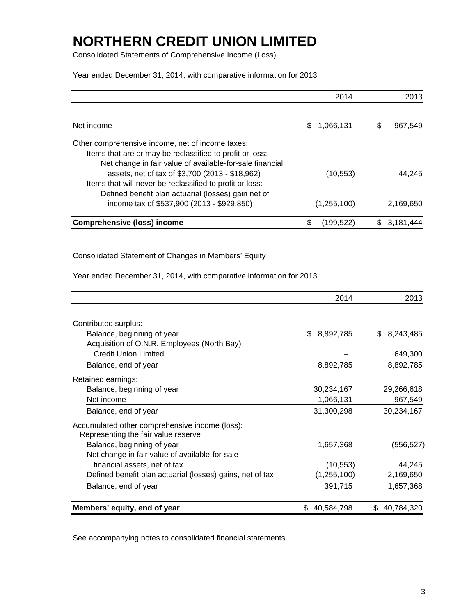Consolidated Statements of Comprehensive Income (Loss)

Year ended December 31, 2014, with comparative information for 2013

|                                                                                                                                                                          | 2014            | 2013             |
|--------------------------------------------------------------------------------------------------------------------------------------------------------------------------|-----------------|------------------|
| Net income                                                                                                                                                               | \$<br>1,066,131 | 967,549<br>S     |
| Other comprehensive income, net of income taxes:<br>Items that are or may be reclassified to profit or loss:<br>Net change in fair value of available-for-sale financial |                 |                  |
| assets, net of tax of \$3,700 (2013 - \$18,962)<br>Items that will never be reclassified to profit or loss:                                                              | (10, 553)       | 44.245           |
| Defined benefit plan actuarial (losses) gain net of<br>income tax of \$537,900 (2013 - \$929,850)                                                                        | (1,255,100)     | 2,169,650        |
| <b>Comprehensive (loss) income</b>                                                                                                                                       | \$<br>(199,522) | 3,181,444<br>\$. |

### Consolidated Statement of Changes in Members' Equity

Year ended December 31, 2014, with comparative information for 2013

|                                                                                       | 2014             | 2013             |
|---------------------------------------------------------------------------------------|------------------|------------------|
|                                                                                       |                  |                  |
| Contributed surplus:                                                                  |                  |                  |
| Balance, beginning of year                                                            | 8,892,785<br>\$  | 8,243,485<br>\$. |
| Acquisition of O.N.R. Employees (North Bay)                                           |                  |                  |
| <b>Credit Union Limited</b>                                                           |                  | 649,300          |
| Balance, end of year                                                                  | 8,892,785        | 8,892,785        |
| Retained earnings:                                                                    |                  |                  |
| Balance, beginning of year                                                            | 30,234,167       | 29,266,618       |
| Net income                                                                            | 1,066,131        | 967,549          |
| Balance, end of year                                                                  | 31,300,298       | 30,234,167       |
| Accumulated other comprehensive income (loss):<br>Representing the fair value reserve |                  |                  |
| Balance, beginning of year                                                            | 1,657,368        | (556,527)        |
| Net change in fair value of available-for-sale                                        |                  |                  |
| financial assets, net of tax                                                          | (10, 553)        | 44,245           |
| Defined benefit plan actuarial (losses) gains, net of tax                             | (1,255,100)      | 2,169,650        |
| Balance, end of year                                                                  | 391,715          | 1,657,368        |
| Members' equity, end of year                                                          | \$<br>40,584,798 | \$<br>40,784,320 |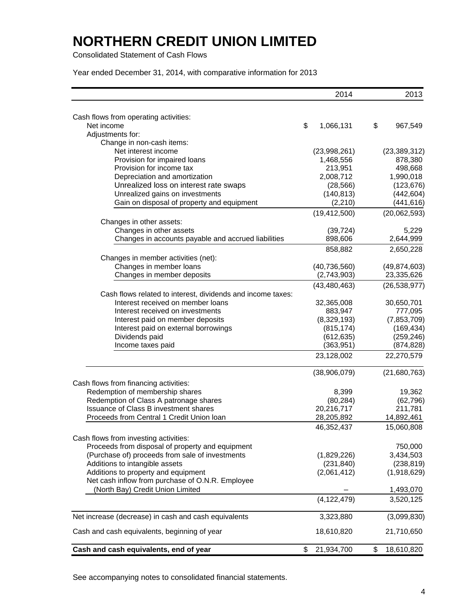Consolidated Statement of Cash Flows

Year ended December 31, 2014, with comparative information for 2013

|                                                             | 2014                     | 2013             |
|-------------------------------------------------------------|--------------------------|------------------|
|                                                             |                          |                  |
| Cash flows from operating activities:<br>Net income         | \$                       | \$               |
|                                                             | 1,066,131                | 967,549          |
| Adjustments for:<br>Change in non-cash items:               |                          |                  |
| Net interest income                                         | (23,998,261)             | (23, 389, 312)   |
| Provision for impaired loans                                | 1,468,556                | 878,380          |
| Provision for income tax                                    | 213,951                  | 498,668          |
| Depreciation and amortization                               | 2,008,712                | 1,990,018        |
| Unrealized loss on interest rate swaps                      | (28, 566)                | (123, 676)       |
| Unrealized gains on investments                             |                          |                  |
|                                                             | (140, 813)               | (442, 604)       |
| Gain on disposal of property and equipment                  | (2, 210)                 | (441, 616)       |
|                                                             | (19, 412, 500)           | (20,062,593)     |
| Changes in other assets:                                    |                          |                  |
| Changes in other assets                                     | (39, 724)                | 5,229            |
| Changes in accounts payable and accrued liabilities         | 898,606                  | 2,644,999        |
|                                                             | 858,882                  | 2,650,228        |
| Changes in member activities (net):                         |                          |                  |
| Changes in member loans                                     | (40, 736, 560)           | (49, 874, 603)   |
| Changes in member deposits                                  | (2,743,903)              | 23,335,626       |
|                                                             | (43, 480, 463)           | (26, 538, 977)   |
| Cash flows related to interest, dividends and income taxes: |                          |                  |
| Interest received on member loans                           | 32,365,008               | 30,650,701       |
| Interest received on investments                            | 883,947                  | 777,095          |
| Interest paid on member deposits                            | (8,329,193)              | (7,853,709)      |
|                                                             |                          | (169, 434)       |
| Interest paid on external borrowings                        | (815, 174)<br>(612, 635) |                  |
| Dividends paid                                              |                          | (259, 246)       |
| Income taxes paid                                           | (363, 951)               | (874, 828)       |
|                                                             | 23,128,002               | 22,270,579       |
|                                                             | (38,906,079)             | (21,680,763)     |
| Cash flows from financing activities:                       |                          |                  |
| Redemption of membership shares                             | 8,399                    | 19,362           |
| Redemption of Class A patronage shares                      | (80, 284)                | (62, 796)        |
| Issuance of Class B investment shares                       | 20,216,717               | 211,781          |
| Proceeds from Central 1 Credit Union Ioan                   | 28,205,892               | 14,892,461       |
|                                                             | 46,352,437               | 15,060,808       |
| Cash flows from investing activities:                       |                          |                  |
| Proceeds from disposal of property and equipment            |                          | 750,000          |
| (Purchase of) proceeds from sale of investments             | (1,829,226)              | 3,434,503        |
| Additions to intangible assets                              | (231, 840)               | (238, 819)       |
| Additions to property and equipment                         | (2,061,412)              | (1,918,629)      |
| Net cash inflow from purchase of O.N.R. Employee            |                          |                  |
|                                                             |                          |                  |
| (North Bay) Credit Union Limited                            |                          | 1,493,070        |
|                                                             | (4, 122, 479)            | 3,520,125        |
| Net increase (decrease) in cash and cash equivalents        | 3,323,880                | (3,099,830)      |
| Cash and cash equivalents, beginning of year                | 18,610,820               | 21,710,650       |
| Cash and cash equivalents, end of year                      | \$<br>21,934,700         | \$<br>18,610,820 |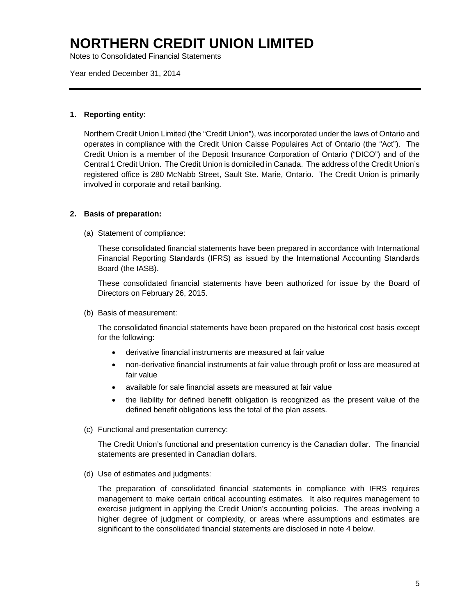Notes to Consolidated Financial Statements

Year ended December 31, 2014

### **1. Reporting entity:**

Northern Credit Union Limited (the "Credit Union"), was incorporated under the laws of Ontario and operates in compliance with the Credit Union Caisse Populaires Act of Ontario (the "Act"). The Credit Union is a member of the Deposit Insurance Corporation of Ontario ("DICO") and of the Central 1 Credit Union. The Credit Union is domiciled in Canada. The address of the Credit Union's registered office is 280 McNabb Street, Sault Ste. Marie, Ontario. The Credit Union is primarily involved in corporate and retail banking.

### **2. Basis of preparation:**

(a) Statement of compliance:

These consolidated financial statements have been prepared in accordance with International Financial Reporting Standards (IFRS) as issued by the International Accounting Standards Board (the IASB).

These consolidated financial statements have been authorized for issue by the Board of Directors on February 26, 2015.

(b) Basis of measurement:

The consolidated financial statements have been prepared on the historical cost basis except for the following:

- derivative financial instruments are measured at fair value
- non-derivative financial instruments at fair value through profit or loss are measured at fair value
- available for sale financial assets are measured at fair value
- the liability for defined benefit obligation is recognized as the present value of the defined benefit obligations less the total of the plan assets.
- (c) Functional and presentation currency:

The Credit Union's functional and presentation currency is the Canadian dollar. The financial statements are presented in Canadian dollars.

(d) Use of estimates and judgments:

The preparation of consolidated financial statements in compliance with IFRS requires management to make certain critical accounting estimates. It also requires management to exercise judgment in applying the Credit Union's accounting policies. The areas involving a higher degree of judgment or complexity, or areas where assumptions and estimates are significant to the consolidated financial statements are disclosed in note 4 below.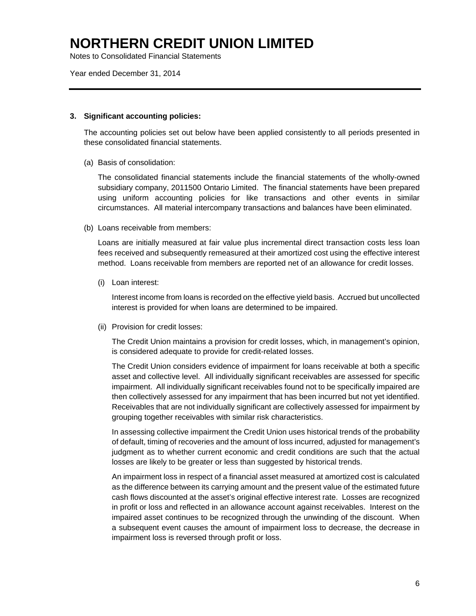Notes to Consolidated Financial Statements

Year ended December 31, 2014

#### **3. Significant accounting policies:**

The accounting policies set out below have been applied consistently to all periods presented in these consolidated financial statements.

(a) Basis of consolidation:

The consolidated financial statements include the financial statements of the wholly-owned subsidiary company, 2011500 Ontario Limited. The financial statements have been prepared using uniform accounting policies for like transactions and other events in similar circumstances. All material intercompany transactions and balances have been eliminated.

(b) Loans receivable from members:

Loans are initially measured at fair value plus incremental direct transaction costs less loan fees received and subsequently remeasured at their amortized cost using the effective interest method. Loans receivable from members are reported net of an allowance for credit losses.

(i) Loan interest:

 Interest income from loans is recorded on the effective yield basis. Accrued but uncollected interest is provided for when loans are determined to be impaired.

(ii) Provision for credit losses:

 The Credit Union maintains a provision for credit losses, which, in management's opinion, is considered adequate to provide for credit-related losses.

 The Credit Union considers evidence of impairment for loans receivable at both a specific asset and collective level. All individually significant receivables are assessed for specific impairment. All individually significant receivables found not to be specifically impaired are then collectively assessed for any impairment that has been incurred but not yet identified. Receivables that are not individually significant are collectively assessed for impairment by grouping together receivables with similar risk characteristics.

 In assessing collective impairment the Credit Union uses historical trends of the probability of default, timing of recoveries and the amount of loss incurred, adjusted for management's judgment as to whether current economic and credit conditions are such that the actual losses are likely to be greater or less than suggested by historical trends.

 An impairment loss in respect of a financial asset measured at amortized cost is calculated as the difference between its carrying amount and the present value of the estimated future cash flows discounted at the asset's original effective interest rate. Losses are recognized in profit or loss and reflected in an allowance account against receivables. Interest on the impaired asset continues to be recognized through the unwinding of the discount. When a subsequent event causes the amount of impairment loss to decrease, the decrease in impairment loss is reversed through profit or loss.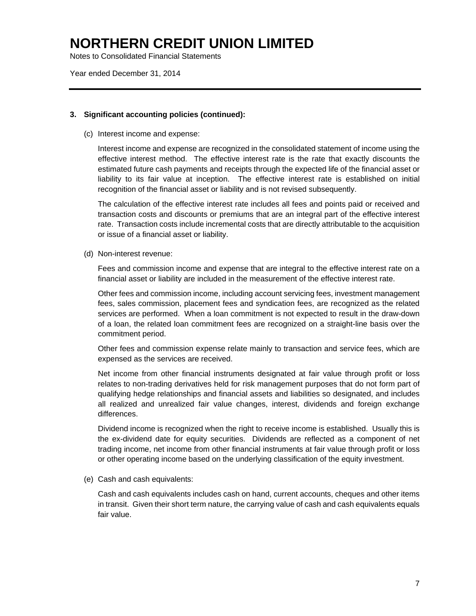Notes to Consolidated Financial Statements

Year ended December 31, 2014

#### **3. Significant accounting policies (continued):**

(c) Interest income and expense:

 Interest income and expense are recognized in the consolidated statement of income using the effective interest method. The effective interest rate is the rate that exactly discounts the estimated future cash payments and receipts through the expected life of the financial asset or liability to its fair value at inception. The effective interest rate is established on initial recognition of the financial asset or liability and is not revised subsequently.

 The calculation of the effective interest rate includes all fees and points paid or received and transaction costs and discounts or premiums that are an integral part of the effective interest rate. Transaction costs include incremental costs that are directly attributable to the acquisition or issue of a financial asset or liability.

(d) Non-interest revenue:

Fees and commission income and expense that are integral to the effective interest rate on a financial asset or liability are included in the measurement of the effective interest rate.

Other fees and commission income, including account servicing fees, investment management fees, sales commission, placement fees and syndication fees, are recognized as the related services are performed. When a loan commitment is not expected to result in the draw-down of a loan, the related loan commitment fees are recognized on a straight-line basis over the commitment period.

Other fees and commission expense relate mainly to transaction and service fees, which are expensed as the services are received.

Net income from other financial instruments designated at fair value through profit or loss relates to non-trading derivatives held for risk management purposes that do not form part of qualifying hedge relationships and financial assets and liabilities so designated, and includes all realized and unrealized fair value changes, interest, dividends and foreign exchange differences.

Dividend income is recognized when the right to receive income is established. Usually this is the ex-dividend date for equity securities. Dividends are reflected as a component of net trading income, net income from other financial instruments at fair value through profit or loss or other operating income based on the underlying classification of the equity investment.

(e) Cash and cash equivalents:

Cash and cash equivalents includes cash on hand, current accounts, cheques and other items in transit. Given their short term nature, the carrying value of cash and cash equivalents equals fair value.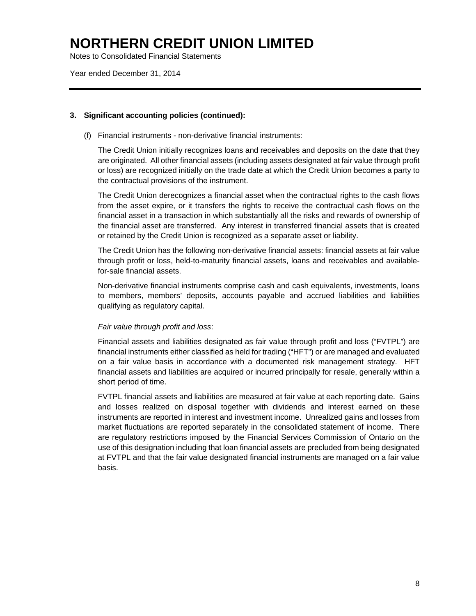Notes to Consolidated Financial Statements

Year ended December 31, 2014

### **3. Significant accounting policies (continued):**

(f) Financial instruments - non-derivative financial instruments:

 The Credit Union initially recognizes loans and receivables and deposits on the date that they are originated. All other financial assets (including assets designated at fair value through profit or loss) are recognized initially on the trade date at which the Credit Union becomes a party to the contractual provisions of the instrument.

The Credit Union derecognizes a financial asset when the contractual rights to the cash flows from the asset expire, or it transfers the rights to receive the contractual cash flows on the financial asset in a transaction in which substantially all the risks and rewards of ownership of the financial asset are transferred. Any interest in transferred financial assets that is created or retained by the Credit Union is recognized as a separate asset or liability.

The Credit Union has the following non-derivative financial assets: financial assets at fair value through profit or loss, held-to-maturity financial assets, loans and receivables and availablefor-sale financial assets.

 Non-derivative financial instruments comprise cash and cash equivalents, investments, loans to members, members' deposits, accounts payable and accrued liabilities and liabilities qualifying as regulatory capital.

### *Fair value through profit and loss*:

 Financial assets and liabilities designated as fair value through profit and loss ("FVTPL") are financial instruments either classified as held for trading ("HFT") or are managed and evaluated on a fair value basis in accordance with a documented risk management strategy. HFT financial assets and liabilities are acquired or incurred principally for resale, generally within a short period of time.

 FVTPL financial assets and liabilities are measured at fair value at each reporting date. Gains and losses realized on disposal together with dividends and interest earned on these instruments are reported in interest and investment income. Unrealized gains and losses from market fluctuations are reported separately in the consolidated statement of income. There are regulatory restrictions imposed by the Financial Services Commission of Ontario on the use of this designation including that loan financial assets are precluded from being designated at FVTPL and that the fair value designated financial instruments are managed on a fair value basis.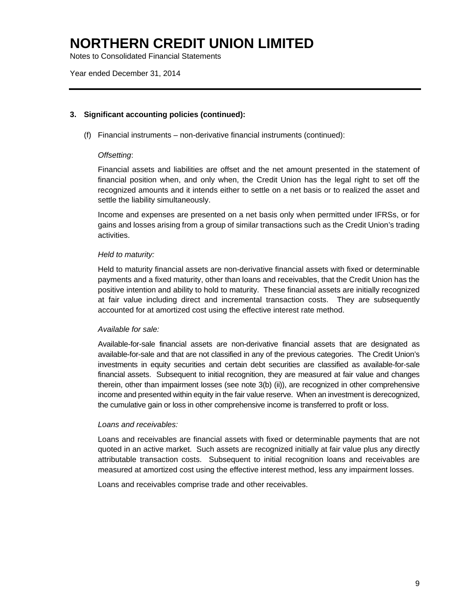Notes to Consolidated Financial Statements

Year ended December 31, 2014

### **3. Significant accounting policies (continued):**

(f) Financial instruments – non-derivative financial instruments (continued):

### *Offsetting*:

Financial assets and liabilities are offset and the net amount presented in the statement of financial position when, and only when, the Credit Union has the legal right to set off the recognized amounts and it intends either to settle on a net basis or to realized the asset and settle the liability simultaneously.

Income and expenses are presented on a net basis only when permitted under IFRSs, or for gains and losses arising from a group of similar transactions such as the Credit Union's trading activities.

### *Held to maturity:*

Held to maturity financial assets are non-derivative financial assets with fixed or determinable payments and a fixed maturity, other than loans and receivables, that the Credit Union has the positive intention and ability to hold to maturity. These financial assets are initially recognized at fair value including direct and incremental transaction costs. They are subsequently accounted for at amortized cost using the effective interest rate method.

#### *Available for sale:*

 Available-for-sale financial assets are non-derivative financial assets that are designated as available-for-sale and that are not classified in any of the previous categories. The Credit Union's investments in equity securities and certain debt securities are classified as available-for-sale financial assets. Subsequent to initial recognition, they are measured at fair value and changes therein, other than impairment losses (see note 3(b) (ii)), are recognized in other comprehensive income and presented within equity in the fair value reserve. When an investment is derecognized, the cumulative gain or loss in other comprehensive income is transferred to profit or loss.

#### *Loans and receivables:*

 Loans and receivables are financial assets with fixed or determinable payments that are not quoted in an active market. Such assets are recognized initially at fair value plus any directly attributable transaction costs. Subsequent to initial recognition loans and receivables are measured at amortized cost using the effective interest method, less any impairment losses.

Loans and receivables comprise trade and other receivables.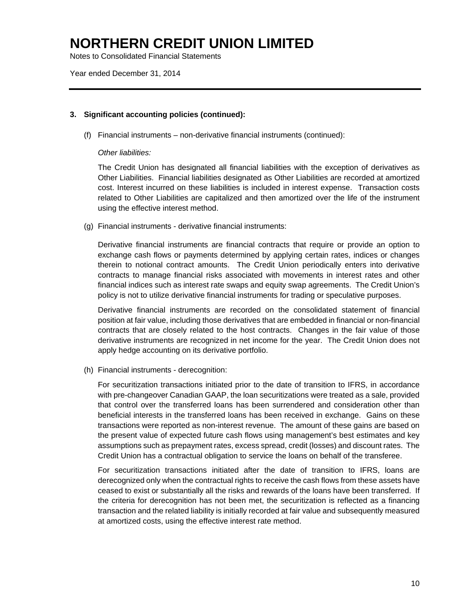Notes to Consolidated Financial Statements

Year ended December 31, 2014

### **3. Significant accounting policies (continued):**

(f) Financial instruments – non-derivative financial instruments (continued):

### *Other liabilities:*

 The Credit Union has designated all financial liabilities with the exception of derivatives as Other Liabilities. Financial liabilities designated as Other Liabilities are recorded at amortized cost. Interest incurred on these liabilities is included in interest expense. Transaction costs related to Other Liabilities are capitalized and then amortized over the life of the instrument using the effective interest method.

(g) Financial instruments - derivative financial instruments:

 Derivative financial instruments are financial contracts that require or provide an option to exchange cash flows or payments determined by applying certain rates, indices or changes therein to notional contract amounts. The Credit Union periodically enters into derivative contracts to manage financial risks associated with movements in interest rates and other financial indices such as interest rate swaps and equity swap agreements. The Credit Union's policy is not to utilize derivative financial instruments for trading or speculative purposes.

Derivative financial instruments are recorded on the consolidated statement of financial position at fair value, including those derivatives that are embedded in financial or non-financial contracts that are closely related to the host contracts. Changes in the fair value of those derivative instruments are recognized in net income for the year. The Credit Union does not apply hedge accounting on its derivative portfolio.

(h) Financial instruments - derecognition:

For securitization transactions initiated prior to the date of transition to IFRS, in accordance with pre-changeover Canadian GAAP, the loan securitizations were treated as a sale, provided that control over the transferred loans has been surrendered and consideration other than beneficial interests in the transferred loans has been received in exchange. Gains on these transactions were reported as non-interest revenue. The amount of these gains are based on the present value of expected future cash flows using management's best estimates and key assumptions such as prepayment rates, excess spread, credit (losses) and discount rates. The Credit Union has a contractual obligation to service the loans on behalf of the transferee.

For securitization transactions initiated after the date of transition to IFRS, loans are derecognized only when the contractual rights to receive the cash flows from these assets have ceased to exist or substantially all the risks and rewards of the loans have been transferred. If the criteria for derecognition has not been met, the securitization is reflected as a financing transaction and the related liability is initially recorded at fair value and subsequently measured at amortized costs, using the effective interest rate method.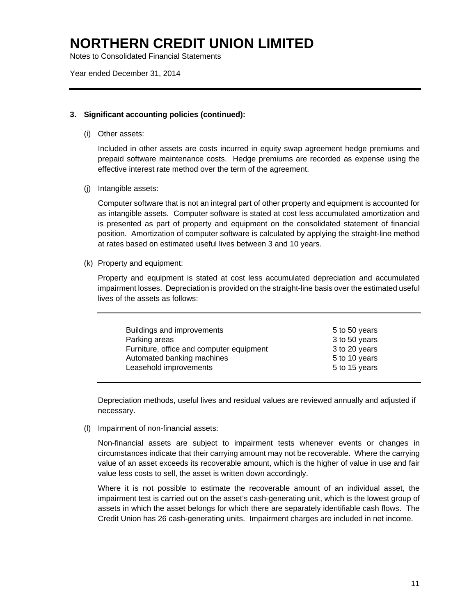Notes to Consolidated Financial Statements

Year ended December 31, 2014

#### **3. Significant accounting policies (continued):**

(i) Other assets:

 Included in other assets are costs incurred in equity swap agreement hedge premiums and prepaid software maintenance costs. Hedge premiums are recorded as expense using the effective interest rate method over the term of the agreement.

(j) Intangible assets:

Computer software that is not an integral part of other property and equipment is accounted for as intangible assets. Computer software is stated at cost less accumulated amortization and is presented as part of property and equipment on the consolidated statement of financial position. Amortization of computer software is calculated by applying the straight-line method at rates based on estimated useful lives between 3 and 10 years.

(k) Property and equipment:

 Property and equipment is stated at cost less accumulated depreciation and accumulated impairment losses. Depreciation is provided on the straight-line basis over the estimated useful lives of the assets as follows:

| Buildings and improvements<br>5 to 50 years<br>Parking areas<br>Furniture, office and computer equipment<br>Automated banking machines<br>Leasehold improvements | 3 to 50 years<br>3 to 20 years<br>5 to 10 years<br>5 to 15 years |
|------------------------------------------------------------------------------------------------------------------------------------------------------------------|------------------------------------------------------------------|
|------------------------------------------------------------------------------------------------------------------------------------------------------------------|------------------------------------------------------------------|

Depreciation methods, useful lives and residual values are reviewed annually and adjusted if necessary.

(l) Impairment of non-financial assets:

Non-financial assets are subject to impairment tests whenever events or changes in circumstances indicate that their carrying amount may not be recoverable. Where the carrying value of an asset exceeds its recoverable amount, which is the higher of value in use and fair value less costs to sell, the asset is written down accordingly.

Where it is not possible to estimate the recoverable amount of an individual asset, the impairment test is carried out on the asset's cash-generating unit, which is the lowest group of assets in which the asset belongs for which there are separately identifiable cash flows. The Credit Union has 26 cash-generating units. Impairment charges are included in net income.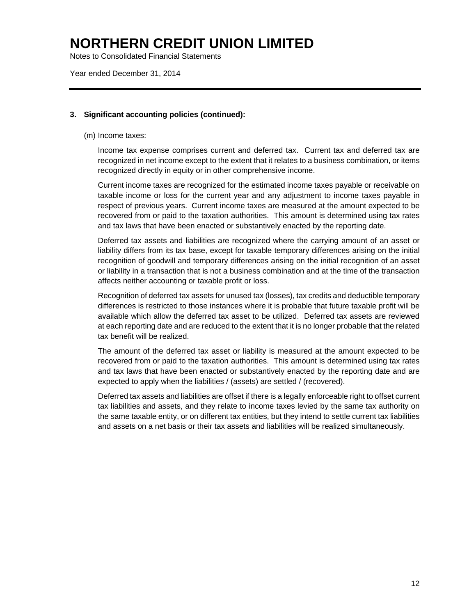Notes to Consolidated Financial Statements

Year ended December 31, 2014

### **3. Significant accounting policies (continued):**

(m) Income taxes:

 Income tax expense comprises current and deferred tax. Current tax and deferred tax are recognized in net income except to the extent that it relates to a business combination, or items recognized directly in equity or in other comprehensive income.

 Current income taxes are recognized for the estimated income taxes payable or receivable on taxable income or loss for the current year and any adjustment to income taxes payable in respect of previous years. Current income taxes are measured at the amount expected to be recovered from or paid to the taxation authorities. This amount is determined using tax rates and tax laws that have been enacted or substantively enacted by the reporting date.

 Deferred tax assets and liabilities are recognized where the carrying amount of an asset or liability differs from its tax base, except for taxable temporary differences arising on the initial recognition of goodwill and temporary differences arising on the initial recognition of an asset or liability in a transaction that is not a business combination and at the time of the transaction affects neither accounting or taxable profit or loss.

 Recognition of deferred tax assets for unused tax (losses), tax credits and deductible temporary differences is restricted to those instances where it is probable that future taxable profit will be available which allow the deferred tax asset to be utilized. Deferred tax assets are reviewed at each reporting date and are reduced to the extent that it is no longer probable that the related tax benefit will be realized.

 The amount of the deferred tax asset or liability is measured at the amount expected to be recovered from or paid to the taxation authorities. This amount is determined using tax rates and tax laws that have been enacted or substantively enacted by the reporting date and are expected to apply when the liabilities / (assets) are settled / (recovered).

Deferred tax assets and liabilities are offset if there is a legally enforceable right to offset current tax liabilities and assets, and they relate to income taxes levied by the same tax authority on the same taxable entity, or on different tax entities, but they intend to settle current tax liabilities and assets on a net basis or their tax assets and liabilities will be realized simultaneously.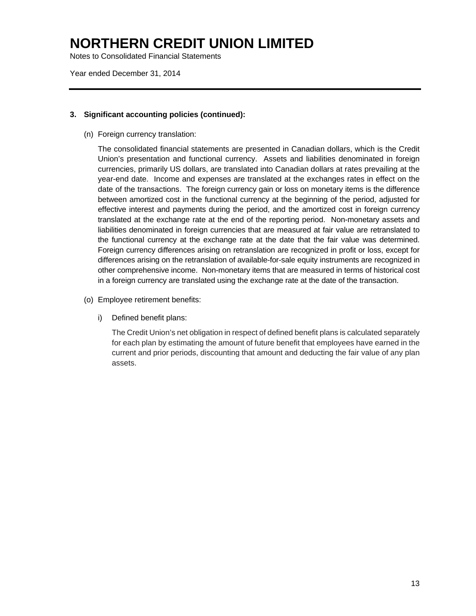Notes to Consolidated Financial Statements

Year ended December 31, 2014

### **3. Significant accounting policies (continued):**

(n) Foreign currency translation:

 The consolidated financial statements are presented in Canadian dollars, which is the Credit Union's presentation and functional currency. Assets and liabilities denominated in foreign currencies, primarily US dollars, are translated into Canadian dollars at rates prevailing at the year-end date. Income and expenses are translated at the exchanges rates in effect on the date of the transactions. The foreign currency gain or loss on monetary items is the difference between amortized cost in the functional currency at the beginning of the period, adjusted for effective interest and payments during the period, and the amortized cost in foreign currency translated at the exchange rate at the end of the reporting period. Non-monetary assets and liabilities denominated in foreign currencies that are measured at fair value are retranslated to the functional currency at the exchange rate at the date that the fair value was determined. Foreign currency differences arising on retranslation are recognized in profit or loss, except for differences arising on the retranslation of available-for-sale equity instruments are recognized in other comprehensive income. Non-monetary items that are measured in terms of historical cost in a foreign currency are translated using the exchange rate at the date of the transaction.

- (o) Employee retirement benefits:
	- i) Defined benefit plans:

The Credit Union's net obligation in respect of defined benefit plans is calculated separately for each plan by estimating the amount of future benefit that employees have earned in the current and prior periods, discounting that amount and deducting the fair value of any plan assets.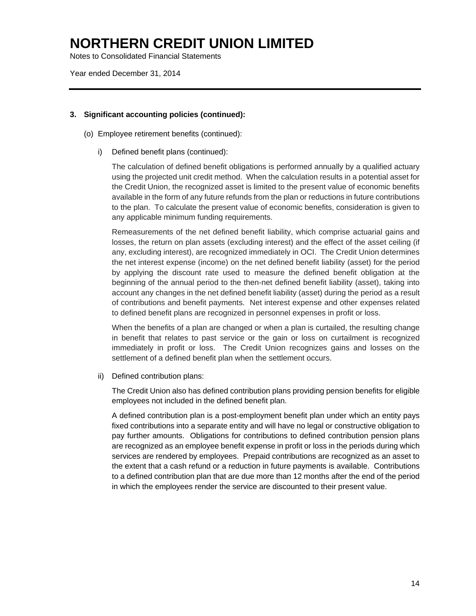Notes to Consolidated Financial Statements

Year ended December 31, 2014

### **3. Significant accounting policies (continued):**

- (o) Employee retirement benefits (continued):
	- i) Defined benefit plans (continued):

The calculation of defined benefit obligations is performed annually by a qualified actuary using the projected unit credit method. When the calculation results in a potential asset for the Credit Union, the recognized asset is limited to the present value of economic benefits available in the form of any future refunds from the plan or reductions in future contributions to the plan. To calculate the present value of economic benefits, consideration is given to any applicable minimum funding requirements.

Remeasurements of the net defined benefit liability, which comprise actuarial gains and losses, the return on plan assets (excluding interest) and the effect of the asset ceiling (if any, excluding interest), are recognized immediately in OCI. The Credit Union determines the net interest expense (income) on the net defined benefit liability (asset) for the period by applying the discount rate used to measure the defined benefit obligation at the beginning of the annual period to the then-net defined benefit liability (asset), taking into account any changes in the net defined benefit liability (asset) during the period as a result of contributions and benefit payments. Net interest expense and other expenses related to defined benefit plans are recognized in personnel expenses in profit or loss.

When the benefits of a plan are changed or when a plan is curtailed, the resulting change in benefit that relates to past service or the gain or loss on curtailment is recognized immediately in profit or loss. The Credit Union recognizes gains and losses on the settlement of a defined benefit plan when the settlement occurs.

ii) Defined contribution plans:

The Credit Union also has defined contribution plans providing pension benefits for eligible employees not included in the defined benefit plan.

A defined contribution plan is a post-employment benefit plan under which an entity pays fixed contributions into a separate entity and will have no legal or constructive obligation to pay further amounts. Obligations for contributions to defined contribution pension plans are recognized as an employee benefit expense in profit or loss in the periods during which services are rendered by employees. Prepaid contributions are recognized as an asset to the extent that a cash refund or a reduction in future payments is available. Contributions to a defined contribution plan that are due more than 12 months after the end of the period in which the employees render the service are discounted to their present value.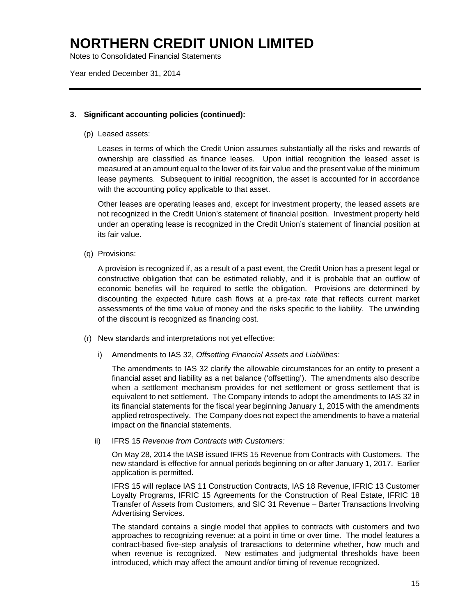Notes to Consolidated Financial Statements

Year ended December 31, 2014

#### **3. Significant accounting policies (continued):**

(p) Leased assets:

 Leases in terms of which the Credit Union assumes substantially all the risks and rewards of ownership are classified as finance leases. Upon initial recognition the leased asset is measured at an amount equal to the lower of its fair value and the present value of the minimum lease payments. Subsequent to initial recognition, the asset is accounted for in accordance with the accounting policy applicable to that asset.

 Other leases are operating leases and, except for investment property, the leased assets are not recognized in the Credit Union's statement of financial position. Investment property held under an operating lease is recognized in the Credit Union's statement of financial position at its fair value.

(q) Provisions:

A provision is recognized if, as a result of a past event, the Credit Union has a present legal or constructive obligation that can be estimated reliably, and it is probable that an outflow of economic benefits will be required to settle the obligation. Provisions are determined by discounting the expected future cash flows at a pre-tax rate that reflects current market assessments of the time value of money and the risks specific to the liability. The unwinding of the discount is recognized as financing cost.

- (r) New standards and interpretations not yet effective:
	- i) Amendments to IAS 32, *Offsetting Financial Assets and Liabilities:*

The amendments to IAS 32 clarify the allowable circumstances for an entity to present a financial asset and liability as a net balance ('offsetting'). The amendments also describe when a settlement mechanism provides for net settlement or gross settlement that is equivalent to net settlement. The Company intends to adopt the amendments to IAS 32 in its financial statements for the fiscal year beginning January 1, 2015 with the amendments applied retrospectively. The Company does not expect the amendments to have a material impact on the financial statements.

ii) IFRS 15 *Revenue from Contracts with Customers:*

On May 28, 2014 the IASB issued IFRS 15 Revenue from Contracts with Customers. The new standard is effective for annual periods beginning on or after January 1, 2017. Earlier application is permitted.

IFRS 15 will replace IAS 11 Construction Contracts, IAS 18 Revenue, IFRIC 13 Customer Loyalty Programs, IFRIC 15 Agreements for the Construction of Real Estate, IFRIC 18 Transfer of Assets from Customers, and SIC 31 Revenue – Barter Transactions Involving Advertising Services.

The standard contains a single model that applies to contracts with customers and two approaches to recognizing revenue: at a point in time or over time. The model features a contract-based five-step analysis of transactions to determine whether, how much and when revenue is recognized. New estimates and judgmental thresholds have been introduced, which may affect the amount and/or timing of revenue recognized.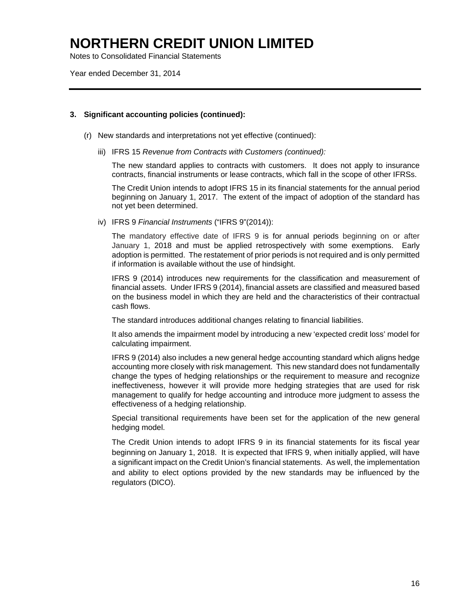Notes to Consolidated Financial Statements

Year ended December 31, 2014

#### **3. Significant accounting policies (continued):**

- (r) New standards and interpretations not yet effective (continued):
	- iii) IFRS 15 *Revenue from Contracts with Customers (continued):*

The new standard applies to contracts with customers. It does not apply to insurance contracts, financial instruments or lease contracts, which fall in the scope of other IFRSs.

The Credit Union intends to adopt IFRS 15 in its financial statements for the annual period beginning on January 1, 2017. The extent of the impact of adoption of the standard has not yet been determined.

iv) IFRS 9 *Financial Instruments* ("IFRS 9"(2014)):

The mandatory effective date of IFRS 9 is for annual periods beginning on or after January 1, 2018 and must be applied retrospectively with some exemptions. Early adoption is permitted. The restatement of prior periods is not required and is only permitted if information is available without the use of hindsight.

IFRS 9 (2014) introduces new requirements for the classification and measurement of financial assets. Under IFRS 9 (2014), financial assets are classified and measured based on the business model in which they are held and the characteristics of their contractual cash flows.

The standard introduces additional changes relating to financial liabilities.

It also amends the impairment model by introducing a new 'expected credit loss' model for calculating impairment.

IFRS 9 (2014) also includes a new general hedge accounting standard which aligns hedge accounting more closely with risk management. This new standard does not fundamentally change the types of hedging relationships or the requirement to measure and recognize ineffectiveness, however it will provide more hedging strategies that are used for risk management to qualify for hedge accounting and introduce more judgment to assess the effectiveness of a hedging relationship.

Special transitional requirements have been set for the application of the new general hedging model.

The Credit Union intends to adopt IFRS 9 in its financial statements for its fiscal year beginning on January 1, 2018. It is expected that IFRS 9, when initially applied, will have a significant impact on the Credit Union's financial statements. As well, the implementation and ability to elect options provided by the new standards may be influenced by the regulators (DICO).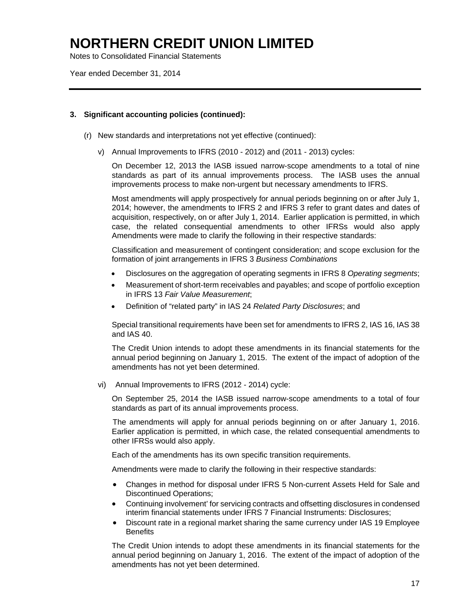Notes to Consolidated Financial Statements

Year ended December 31, 2014

#### **3. Significant accounting policies (continued):**

- (r) New standards and interpretations not yet effective (continued):
	- v) Annual Improvements to IFRS (2010 2012) and (2011 2013) cycles:

On December 12, 2013 the IASB issued narrow-scope amendments to a total of nine standards as part of its annual improvements process. The IASB uses the annual improvements process to make non-urgent but necessary amendments to IFRS.

Most amendments will apply prospectively for annual periods beginning on or after July 1, 2014; however, the amendments to IFRS 2 and IFRS 3 refer to grant dates and dates of acquisition, respectively, on or after July 1, 2014. Earlier application is permitted, in which case, the related consequential amendments to other IFRSs would also apply Amendments were made to clarify the following in their respective standards:

Classification and measurement of contingent consideration; and scope exclusion for the formation of joint arrangements in IFRS 3 *Business Combinations* 

- Disclosures on the aggregation of operating segments in IFRS 8 *Operating segments*;
- Measurement of short-term receivables and payables; and scope of portfolio exception in IFRS 13 *Fair Value Measurement*;
- Definition of "related party" in IAS 24 *Related Party Disclosures*; and

Special transitional requirements have been set for amendments to IFRS 2, IAS 16, IAS 38 and IAS 40.

The Credit Union intends to adopt these amendments in its financial statements for the annual period beginning on January 1, 2015. The extent of the impact of adoption of the amendments has not yet been determined.

vi) Annual Improvements to IFRS (2012 - 2014) cycle:

On September 25, 2014 the IASB issued narrow-scope amendments to a total of four standards as part of its annual improvements process.

The amendments will apply for annual periods beginning on or after January 1, 2016. Earlier application is permitted, in which case, the related consequential amendments to other IFRSs would also apply.

Each of the amendments has its own specific transition requirements.

Amendments were made to clarify the following in their respective standards:

- Changes in method for disposal under IFRS 5 Non-current Assets Held for Sale and Discontinued Operations;
- Continuing involvement' for servicing contracts and offsetting disclosures in condensed interim financial statements under IFRS 7 Financial Instruments: Disclosures;
- Discount rate in a regional market sharing the same currency under IAS 19 Employee **Benefits**

The Credit Union intends to adopt these amendments in its financial statements for the annual period beginning on January 1, 2016. The extent of the impact of adoption of the amendments has not yet been determined.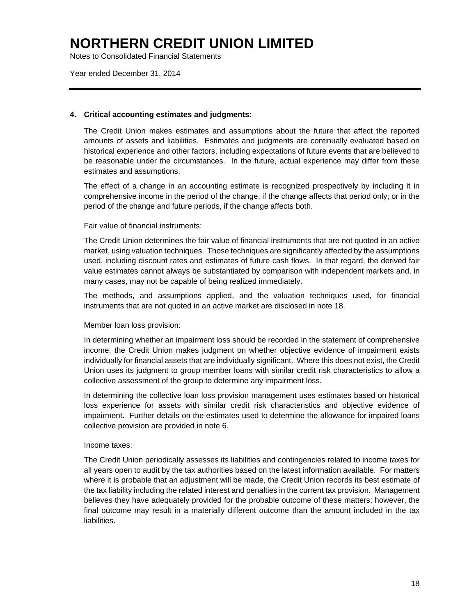Notes to Consolidated Financial Statements

Year ended December 31, 2014

#### **4. Critical accounting estimates and judgments:**

The Credit Union makes estimates and assumptions about the future that affect the reported amounts of assets and liabilities. Estimates and judgments are continually evaluated based on historical experience and other factors, including expectations of future events that are believed to be reasonable under the circumstances. In the future, actual experience may differ from these estimates and assumptions.

The effect of a change in an accounting estimate is recognized prospectively by including it in comprehensive income in the period of the change, if the change affects that period only; or in the period of the change and future periods, if the change affects both.

### Fair value of financial instruments:

The Credit Union determines the fair value of financial instruments that are not quoted in an active market, using valuation techniques. Those techniques are significantly affected by the assumptions used, including discount rates and estimates of future cash flows. In that regard, the derived fair value estimates cannot always be substantiated by comparison with independent markets and, in many cases, may not be capable of being realized immediately.

The methods, and assumptions applied, and the valuation techniques used, for financial instruments that are not quoted in an active market are disclosed in note 18.

#### Member loan loss provision:

In determining whether an impairment loss should be recorded in the statement of comprehensive income, the Credit Union makes judgment on whether objective evidence of impairment exists individually for financial assets that are individually significant. Where this does not exist, the Credit Union uses its judgment to group member loans with similar credit risk characteristics to allow a collective assessment of the group to determine any impairment loss.

In determining the collective loan loss provision management uses estimates based on historical loss experience for assets with similar credit risk characteristics and objective evidence of impairment. Further details on the estimates used to determine the allowance for impaired loans collective provision are provided in note 6.

#### Income taxes:

The Credit Union periodically assesses its liabilities and contingencies related to income taxes for all years open to audit by the tax authorities based on the latest information available. For matters where it is probable that an adjustment will be made, the Credit Union records its best estimate of the tax liability including the related interest and penalties in the current tax provision. Management believes they have adequately provided for the probable outcome of these matters; however, the final outcome may result in a materially different outcome than the amount included in the tax liabilities.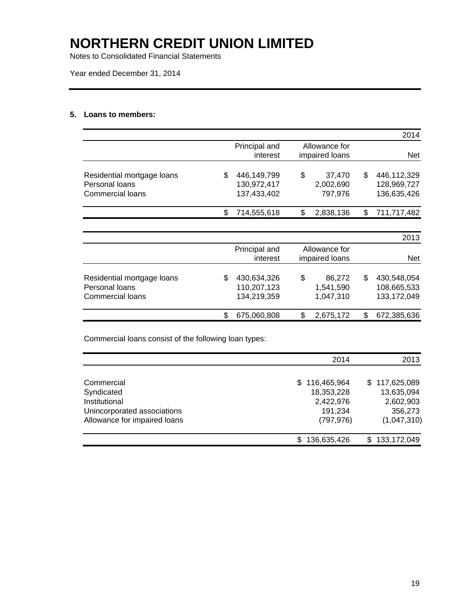Notes to Consolidated Financial Statements

Year ended December 31, 2014

### **5. Loans to members:**

|                                                                         |                                                 |                                 |                                  | 2014                                            |
|-------------------------------------------------------------------------|-------------------------------------------------|---------------------------------|----------------------------------|-------------------------------------------------|
|                                                                         | Principal and<br>interest                       | Allowance for<br>impaired loans |                                  | <b>Net</b>                                      |
| Residential mortgage loans<br>Personal loans<br><b>Commercial loans</b> | \$<br>446,149,799<br>130,972,417<br>137,433,402 | \$                              | 37,470<br>2,002,690<br>797,976   | \$<br>446,112,329<br>128,969,727<br>136,635,426 |
|                                                                         | \$<br>714,555,618                               | \$                              | 2,838,136                        | \$<br>711,717,482                               |
|                                                                         |                                                 |                                 |                                  | 2013                                            |
|                                                                         | Principal and<br>interest                       |                                 | Allowance for<br>impaired loans  | Net                                             |
| Residential mortgage loans<br>Personal loans<br><b>Commercial loans</b> | \$<br>430,634,326<br>110,207,123<br>134,219,359 | \$                              | 86,272<br>1,541,590<br>1,047,310 | \$<br>430,548,054<br>108,665,533<br>133,172,049 |
|                                                                         | \$<br>675,060,808                               | \$                              | 2,675,172                        | \$<br>672,385,636                               |

Commercial loans consist of the following loan types:

|                              | 2014              | 2013          |
|------------------------------|-------------------|---------------|
|                              |                   |               |
| Commercial                   | 116,465,964<br>S. | \$117,625,089 |
| Syndicated                   | 18,353,228        | 13,635,094    |
| Institutional                | 2,422,976         | 2,602,903     |
| Unincorporated associations  | 191,234           | 356,273       |
| Allowance for impaired loans | (797, 976)        | (1,047,310)   |
|                              | 136,635,426       | 133,172,049   |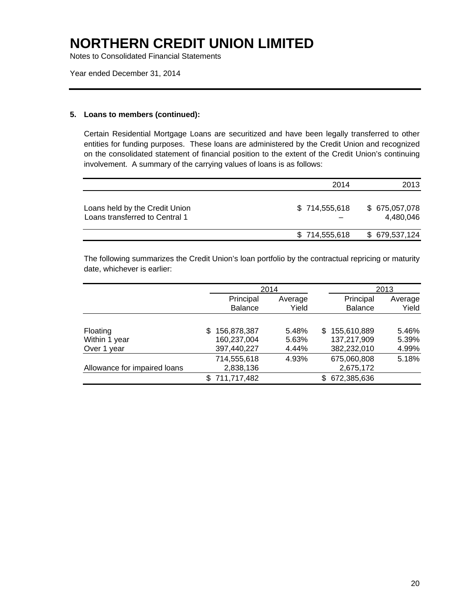Notes to Consolidated Financial Statements

Year ended December 31, 2014

### **5. Loans to members (continued):**

Certain Residential Mortgage Loans are securitized and have been legally transferred to other entities for funding purposes. These loans are administered by the Credit Union and recognized on the consolidated statement of financial position to the extent of the Credit Union's continuing involvement. A summary of the carrying values of loans is as follows:

|                                                                  | 2014          | 2013                        |
|------------------------------------------------------------------|---------------|-----------------------------|
| Loans held by the Credit Union<br>Loans transferred to Central 1 | \$714,555,618 | \$ 675,057,078<br>4.480.046 |
|                                                                  | \$714,555,618 | \$679,537,124               |

The following summarizes the Credit Union's loan portfolio by the contractual repricing or maturity date, whichever is earlier:

|                              |                             | 2014             |                             | 2013             |
|------------------------------|-----------------------------|------------------|-----------------------------|------------------|
|                              | Principal<br><b>Balance</b> | Average<br>Yield | Principal<br><b>Balance</b> | Average<br>Yield |
|                              |                             |                  |                             |                  |
| Floating                     | 156,878,387<br>SS.          | 5.48%            | \$155,610,889               | 5.46%            |
| Within 1 year                | 160,237,004                 | 5.63%            | 137,217,909                 | 5.39%            |
| Over 1 year                  | 397,440,227                 | 4.44%            | 382,232,010                 | 4.99%            |
|                              | 714,555,618                 | 4.93%            | 675,060,808                 | 5.18%            |
| Allowance for impaired loans | 2,838,136                   |                  | 2,675,172                   |                  |
|                              | \$711,717,482               |                  | 672,385,636<br>S            |                  |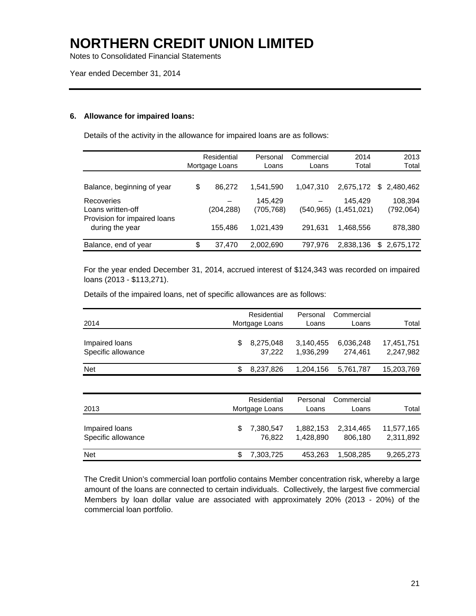Notes to Consolidated Financial Statements

Year ended December 31, 2014

#### **6. Allowance for impaired loans:**

Details of the activity in the allowance for impaired loans are as follows:

|                                                   | Residential    | Personal   | Commercial | 2014        | 2013            |
|---------------------------------------------------|----------------|------------|------------|-------------|-----------------|
|                                                   | Mortgage Loans | Loans      | Loans      | Total       | Total           |
|                                                   |                |            |            |             |                 |
| Balance, beginning of year                        | \$<br>86.272   | 1.541.590  | 1.047.310  | 2,675,172   | \$ 2,480,462    |
| <b>Recoveries</b>                                 |                | 145,429    |            | 145.429     | 108,394         |
| Loans written-off<br>Provision for impaired loans | (204,288)      | (705, 768) | (540.965)  | (1,451,021) | (792,064)       |
| during the year                                   | 155.486        | 1,021,439  | 291.631    | 1,468,556   | 878,380         |
| Balance, end of year                              | \$<br>37.470   | 2,002,690  | 797.976    | 2,838,136   | \$<br>2,675,172 |

For the year ended December 31, 2014, accrued interest of \$124,343 was recorded on impaired loans (2013 - \$113,271).

Details of the impaired loans, net of specific allowances are as follows:

| 2014                                 | Residential<br>Mortgage Loans |                     | Personal<br>Loans      | Commercial<br>Loans  | Total                   |
|--------------------------------------|-------------------------------|---------------------|------------------------|----------------------|-------------------------|
|                                      |                               |                     |                        |                      |                         |
| Impaired loans<br>Specific allowance | \$                            | 8,275,048<br>37,222 | 3,140,455<br>1,936,299 | 6,036,248<br>274,461 | 17,451,751<br>2,247,982 |
| <b>Net</b>                           | \$                            | 8,237,826           | 1,204,156              | 5,761,787            | 15,203,769              |
|                                      |                               |                     |                        |                      |                         |
|                                      |                               | Residential         | Personal               | Commercial           |                         |
| 2013                                 |                               | Mortgage Loans      | Loans                  | Loans                | Total                   |
| Impaired loans<br>Specific allowance | \$                            | 7,380,547<br>76,822 | 1,882,153<br>1,428,890 | 2,314,465<br>806,180 | 11,577,165<br>2,311,892 |
| <b>Net</b>                           | \$                            | 7,303,725           | 453,263                | 1,508,285            | 9,265,273               |

The Credit Union's commercial loan portfolio contains Member concentration risk, whereby a large amount of the loans are connected to certain individuals. Collectively, the largest five commercial Members by loan dollar value are associated with approximately 20% (2013 - 20%) of the commercial loan portfolio.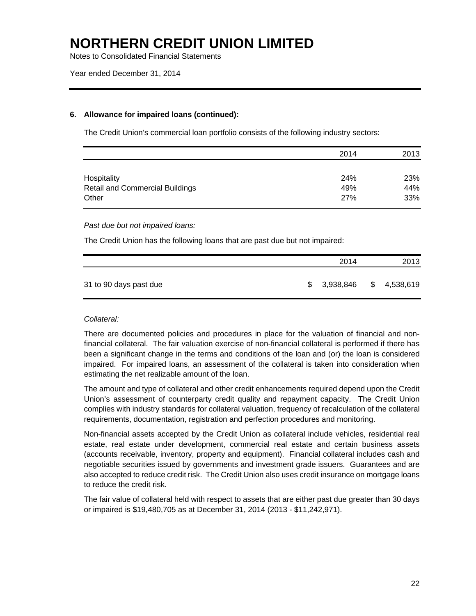Notes to Consolidated Financial Statements

#### **6. Allowance for impaired loans (continued):**

The Credit Union's commercial loan portfolio consists of the following industry sectors:

|                                        | 2014       | 2013 |
|----------------------------------------|------------|------|
|                                        |            |      |
| Hospitality                            | 24%        | 23%  |
| <b>Retail and Commercial Buildings</b> | 49%        | 44%  |
| Other                                  | <b>27%</b> | 33%  |

### *Past due but not impaired loans:*

The Credit Union has the following loans that are past due but not impaired:

|                        |   | 2014      | 2013 |           |
|------------------------|---|-----------|------|-----------|
| 31 to 90 days past due | S | 3,938,846 | \$   | 4,538,619 |

#### *Collateral:*

There are documented policies and procedures in place for the valuation of financial and nonfinancial collateral. The fair valuation exercise of non-financial collateral is performed if there has been a significant change in the terms and conditions of the loan and (or) the loan is considered impaired. For impaired loans, an assessment of the collateral is taken into consideration when estimating the net realizable amount of the loan.

The amount and type of collateral and other credit enhancements required depend upon the Credit Union's assessment of counterparty credit quality and repayment capacity. The Credit Union complies with industry standards for collateral valuation, frequency of recalculation of the collateral requirements, documentation, registration and perfection procedures and monitoring.

Non-financial assets accepted by the Credit Union as collateral include vehicles, residential real estate, real estate under development, commercial real estate and certain business assets (accounts receivable, inventory, property and equipment). Financial collateral includes cash and negotiable securities issued by governments and investment grade issuers. Guarantees and are also accepted to reduce credit risk. The Credit Union also uses credit insurance on mortgage loans to reduce the credit risk.

The fair value of collateral held with respect to assets that are either past due greater than 30 days or impaired is \$19,480,705 as at December 31, 2014 (2013 - \$11,242,971).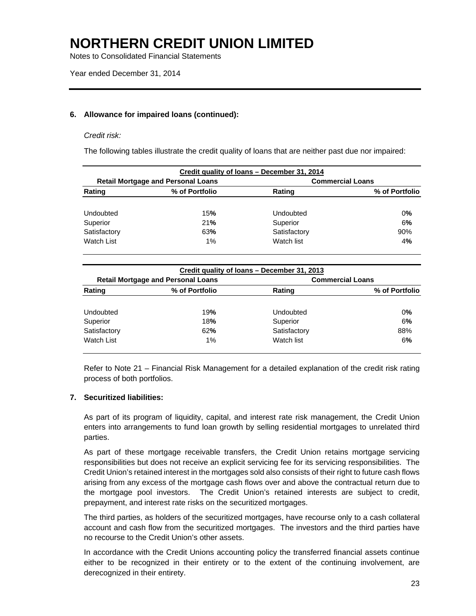Notes to Consolidated Financial Statements

### **6. Allowance for impaired loans (continued):**

#### *Credit risk:*

The following tables illustrate the credit quality of loans that are neither past due nor impaired:

|              |                                           | Credit quality of loans - December 31, 2014 |                         |
|--------------|-------------------------------------------|---------------------------------------------|-------------------------|
|              | <b>Retail Mortgage and Personal Loans</b> |                                             | <b>Commercial Loans</b> |
| Rating       | % of Portfolio                            | Rating                                      | % of Portfolio          |
| Undoubted    | 15%                                       | Undoubted                                   | 0%                      |
| Superior     | 21%                                       | Superior                                    | 6%                      |
| Satisfactory | 63%                                       | Satisfactory                                | 90%                     |
| Watch List   | $1\%$                                     | Watch list                                  | 4%                      |

|              | <b>Retail Mortgage and Personal Loans</b> | Credit quality of loans - December 31, 2013 | <b>Commercial Loans</b> |
|--------------|-------------------------------------------|---------------------------------------------|-------------------------|
| Rating       | % of Portfolio                            | <b>Rating</b>                               | % of Portfolio          |
| Undoubted    | 19%                                       | Undoubted                                   | 0%                      |
| Superior     | 18%                                       | Superior                                    | 6%                      |
| Satisfactory | 62%                                       | Satisfactory                                | 88%                     |
| Watch List   | $1\%$                                     | Watch list                                  | 6%                      |

Refer to Note 21 – Financial Risk Management for a detailed explanation of the credit risk rating process of both portfolios.

#### **7. Securitized liabilities:**

 As part of its program of liquidity, capital, and interest rate risk management, the Credit Union enters into arrangements to fund loan growth by selling residential mortgages to unrelated third parties.

 As part of these mortgage receivable transfers, the Credit Union retains mortgage servicing responsibilities but does not receive an explicit servicing fee for its servicing responsibilities. The Credit Union's retained interest in the mortgages sold also consists of their right to future cash flows arising from any excess of the mortgage cash flows over and above the contractual return due to the mortgage pool investors. The Credit Union's retained interests are subject to credit, prepayment, and interest rate risks on the securitized mortgages.

 The third parties, as holders of the securitized mortgages, have recourse only to a cash collateral account and cash flow from the securitized mortgages. The investors and the third parties have no recourse to the Credit Union's other assets.

In accordance with the Credit Unions accounting policy the transferred financial assets continue either to be recognized in their entirety or to the extent of the continuing involvement, are derecognized in their entirety.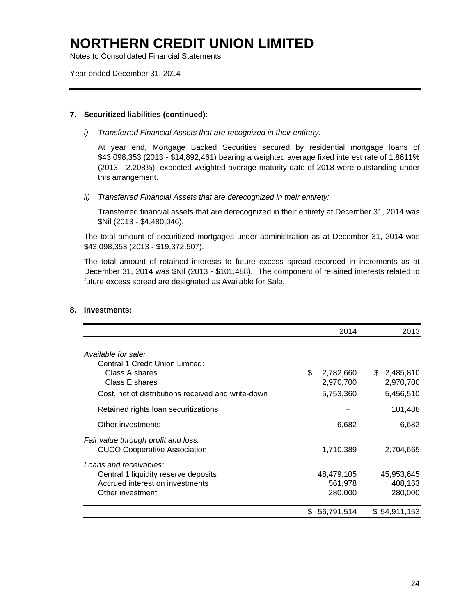Notes to Consolidated Financial Statements

Year ended December 31, 2014

#### **7. Securitized liabilities (continued):**

*i) Transferred Financial Assets that are recognized in their entirety:* 

At year end, Mortgage Backed Securities secured by residential mortgage loans of \$43,098,353 (2013 - \$14,892,461) bearing a weighted average fixed interest rate of 1.8611% (2013 - 2.208%), expected weighted average maturity date of 2018 were outstanding under this arrangement.

### *ii) Transferred Financial Assets that are derecognized in their entirety:*

Transferred financial assets that are derecognized in their entirety at December 31, 2014 was \$Nil (2013 - \$4,480,046).

The total amount of securitized mortgages under administration as at December 31, 2014 was \$43,098,353 (2013 - \$19,372,507).

The total amount of retained interests to future excess spread recorded in increments as at December 31, 2014 was \$Nil (2013 - \$101,488). The component of retained interests related to future excess spread are designated as Available for Sale.

|                                                                            |    | 2014       | 2013            |
|----------------------------------------------------------------------------|----|------------|-----------------|
| Available for sale:                                                        |    |            |                 |
| Central 1 Credit Union Limited:                                            |    |            |                 |
| Class A shares                                                             | \$ | 2,782,660  | 2,485,810<br>\$ |
| Class E shares                                                             |    | 2,970,700  | 2,970,700       |
| Cost, net of distributions received and write-down                         |    | 5,753,360  | 5,456,510       |
| Retained rights loan securitizations                                       |    |            | 101,488         |
| Other investments                                                          |    | 6,682      | 6,682           |
| Fair value through profit and loss:<br><b>CUCO Cooperative Association</b> |    | 1,710,389  | 2,704,665       |
| Loans and receivables:                                                     |    |            |                 |
| Central 1 liquidity reserve deposits                                       |    | 48,479,105 | 45,953,645      |
| Accrued interest on investments                                            |    | 561,978    | 408,163         |
| Other investment                                                           |    | 280,000    | 280,000         |
|                                                                            | S. | 56,791,514 | \$54,911,153    |

### **8. Investments:**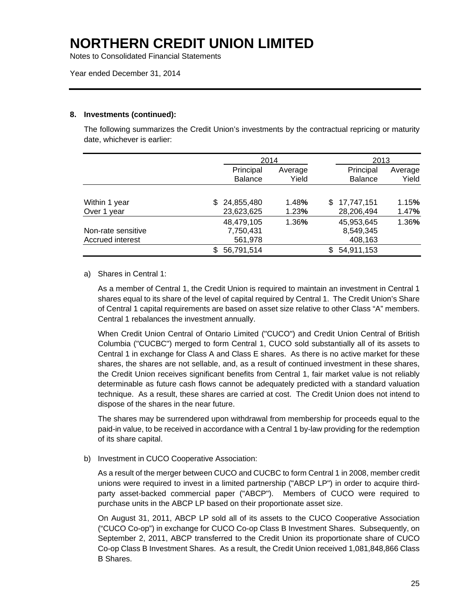Notes to Consolidated Financial Statements

#### **8. Investments (continued):**

The following summarizes the Credit Union's investments by the contractual repricing or maturity date, whichever is earlier:

|                    |                   | 2014    | 2013              |         |
|--------------------|-------------------|---------|-------------------|---------|
|                    | Principal         | Average |                   | Average |
|                    | <b>Balance</b>    | Yield   | <b>Balance</b>    | Yield   |
|                    |                   |         |                   |         |
| Within 1 year      | 24,855,480<br>S.  | 1.48%   | 17,747,151<br>\$. | 1.15%   |
| Over 1 year        | 23,623,625        | 1.23%   | 28,206,494        | 1.47%   |
|                    | 48,479,105        | 1.36%   | 45,953,645        | 1.36%   |
| Non-rate sensitive | 7,750,431         |         | 8,549,345         |         |
| Accrued interest   | 561,978           |         | 408,163           |         |
|                    | 56,791,514<br>\$. |         | 54,911,153        |         |

### a) Shares in Central 1:

As a member of Central 1, the Credit Union is required to maintain an investment in Central 1 shares equal to its share of the level of capital required by Central 1. The Credit Union's Share of Central 1 capital requirements are based on asset size relative to other Class "A" members. Central 1 rebalances the investment annually.

When Credit Union Central of Ontario Limited ("CUCO") and Credit Union Central of British Columbia ("CUCBC") merged to form Central 1, CUCO sold substantially all of its assets to Central 1 in exchange for Class A and Class E shares. As there is no active market for these shares, the shares are not sellable, and, as a result of continued investment in these shares, the Credit Union receives significant benefits from Central 1, fair market value is not reliably determinable as future cash flows cannot be adequately predicted with a standard valuation technique. As a result, these shares are carried at cost. The Credit Union does not intend to dispose of the shares in the near future.

The shares may be surrendered upon withdrawal from membership for proceeds equal to the paid-in value, to be received in accordance with a Central 1 by-law providing for the redemption of its share capital.

#### b) Investment in CUCO Cooperative Association:

 As a result of the merger between CUCO and CUCBC to form Central 1 in 2008, member credit unions were required to invest in a limited partnership ("ABCP LP") in order to acquire thirdparty asset-backed commercial paper ("ABCP"). Members of CUCO were required to purchase units in the ABCP LP based on their proportionate asset size.

On August 31, 2011, ABCP LP sold all of its assets to the CUCO Cooperative Association ("CUCO Co-op") in exchange for CUCO Co-op Class B Investment Shares. Subsequently, on September 2, 2011, ABCP transferred to the Credit Union its proportionate share of CUCO Co-op Class B Investment Shares. As a result, the Credit Union received 1,081,848,866 Class B Shares.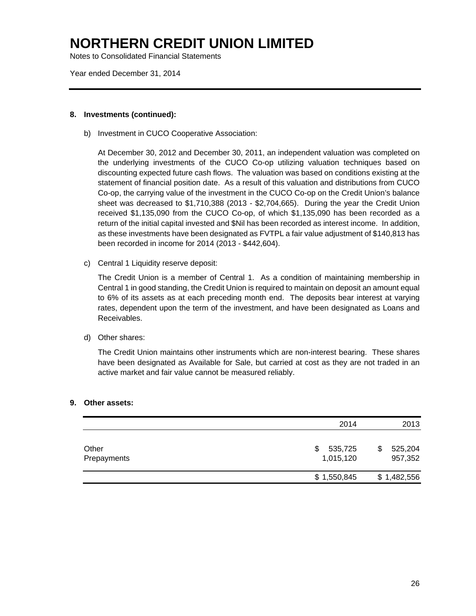Notes to Consolidated Financial Statements

Year ended December 31, 2014

### **8. Investments (continued):**

b) Investment in CUCO Cooperative Association:

At December 30, 2012 and December 30, 2011, an independent valuation was completed on the underlying investments of the CUCO Co-op utilizing valuation techniques based on discounting expected future cash flows. The valuation was based on conditions existing at the statement of financial position date. As a result of this valuation and distributions from CUCO Co-op, the carrying value of the investment in the CUCO Co-op on the Credit Union's balance sheet was decreased to \$1,710,388 (2013 - \$2,704,665). During the year the Credit Union received \$1,135,090 from the CUCO Co-op, of which \$1,135,090 has been recorded as a return of the initial capital invested and \$Nil has been recorded as interest income. In addition, as these investments have been designated as FVTPL a fair value adjustment of \$140,813 has been recorded in income for 2014 (2013 - \$442,604).

c) Central 1 Liquidity reserve deposit:

The Credit Union is a member of Central 1. As a condition of maintaining membership in Central 1 in good standing, the Credit Union is required to maintain on deposit an amount equal to 6% of its assets as at each preceding month end. The deposits bear interest at varying rates, dependent upon the term of the investment, and have been designated as Loans and Receivables.

d) Other shares:

The Credit Union maintains other instruments which are non-interest bearing. These shares have been designated as Available for Sale, but carried at cost as they are not traded in an active market and fair value cannot be measured reliably.

### **9. Other assets:**

|                      | 2014                       | 2013               |
|----------------------|----------------------------|--------------------|
| Other<br>Prepayments | 535,725<br>\$<br>1,015,120 | 525,204<br>957,352 |
|                      | \$1,550,845                | \$1,482,556        |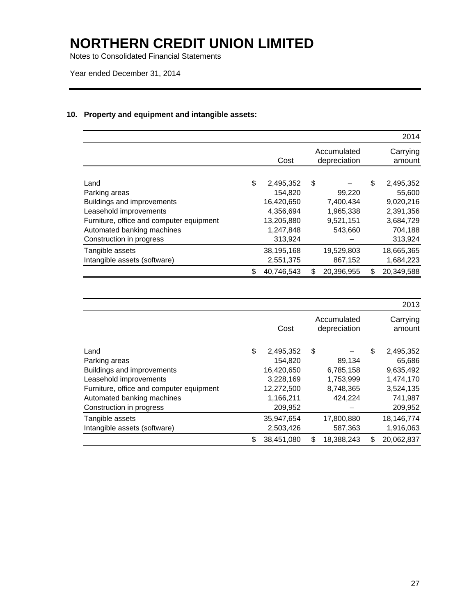Notes to Consolidated Financial Statements

Year ended December 31, 2014

### **10. Property and equipment and intangible assets:**

|                                          |                  |                             | 2014               |
|------------------------------------------|------------------|-----------------------------|--------------------|
|                                          | Cost             | Accumulated<br>depreciation | Carrying<br>amount |
| Land                                     | \$<br>2,495,352  | \$                          | \$<br>2,495,352    |
| Parking areas                            | 154,820          | 99,220                      | 55,600             |
| Buildings and improvements               | 16,420,650       | 7,400,434                   | 9,020,216          |
| Leasehold improvements                   | 4,356,694        | 1,965,338                   | 2,391,356          |
| Furniture, office and computer equipment | 13,205,880       | 9,521,151                   | 3,684,729          |
| Automated banking machines               | 1,247,848        | 543,660                     | 704,188            |
| Construction in progress                 | 313,924          |                             | 313,924            |
| Tangible assets                          | 38,195,168       | 19,529,803                  | 18,665,365         |
| Intangible assets (software)             | 2,551,375        | 867,152                     | 1,684,223          |
|                                          | \$<br>40,746,543 | 20,396,955                  | \$<br>20,349,588   |

|                                          |    |            |   |                             | 2013               |
|------------------------------------------|----|------------|---|-----------------------------|--------------------|
|                                          |    | Cost       |   | Accumulated<br>depreciation | Carrying<br>amount |
| Land                                     | \$ | 2,495,352  | S |                             | \$<br>2,495,352    |
| Parking areas                            |    | 154.820    |   | 89.134                      | 65,686             |
| Buildings and improvements               |    | 16,420,650 |   | 6,785,158                   | 9,635,492          |
| Leasehold improvements                   |    | 3,228,169  |   | 1,753,999                   | 1,474,170          |
| Furniture, office and computer equipment |    | 12,272,500 |   | 8,748,365                   | 3,524,135          |
| Automated banking machines               |    | 1,166,211  |   | 424.224                     | 741,987            |
| Construction in progress                 |    | 209,952    |   |                             | 209,952            |
| Tangible assets                          |    | 35,947,654 |   | 17,800,880                  | 18,146,774         |
| Intangible assets (software)             |    | 2,503,426  |   | 587,363                     | 1,916,063          |
|                                          | S  | 38,451,080 | S | 18,388,243                  | \$<br>20,062,837   |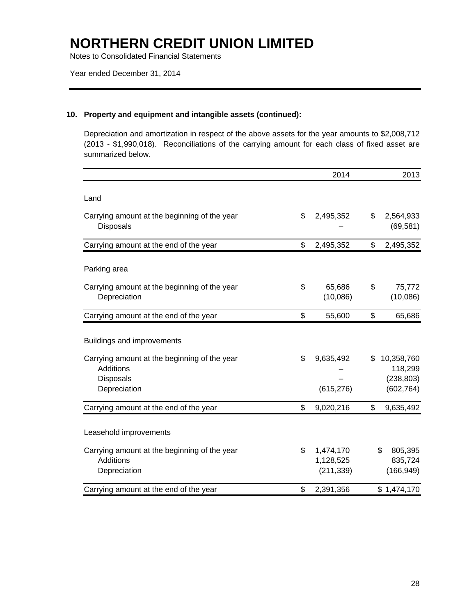Notes to Consolidated Financial Statements

### **10. Property and equipment and intangible assets (continued):**

Depreciation and amortization in respect of the above assets for the year amounts to \$2,008,712 (2013 - \$1,990,018). Reconciliations of the carrying amount for each class of fixed asset are summarized below.

|                                                                                               | 2014                                       | 2013                                                    |
|-----------------------------------------------------------------------------------------------|--------------------------------------------|---------------------------------------------------------|
| Land                                                                                          |                                            |                                                         |
| Carrying amount at the beginning of the year<br><b>Disposals</b>                              | \$<br>2,495,352                            | \$<br>2,564,933<br>(69, 581)                            |
| Carrying amount at the end of the year                                                        | \$<br>2,495,352                            | \$<br>2,495,352                                         |
| Parking area                                                                                  |                                            |                                                         |
| Carrying amount at the beginning of the year<br>Depreciation                                  | \$<br>65,686<br>(10,086)                   | \$<br>75,772<br>(10,086)                                |
| Carrying amount at the end of the year                                                        | \$<br>55,600                               | \$<br>65,686                                            |
| Buildings and improvements                                                                    |                                            |                                                         |
| Carrying amount at the beginning of the year<br>Additions<br><b>Disposals</b><br>Depreciation | \$<br>9,635,492<br>(615, 276)              | \$<br>10,358,760<br>118,299<br>(238, 803)<br>(602, 764) |
| Carrying amount at the end of the year                                                        | \$<br>9,020,216                            | \$<br>9,635,492                                         |
| Leasehold improvements                                                                        |                                            |                                                         |
| Carrying amount at the beginning of the year<br>Additions<br>Depreciation                     | \$<br>1,474,170<br>1,128,525<br>(211, 339) | \$<br>805,395<br>835,724<br>(166, 949)                  |
| Carrying amount at the end of the year                                                        | \$<br>2,391,356                            | \$1,474,170                                             |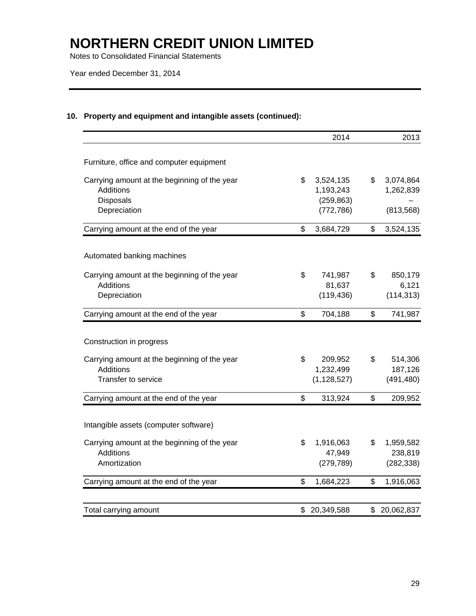Notes to Consolidated Financial Statements

Year ended December 31, 2014

### **10. Property and equipment and intangible assets (continued):**

|                                              | 2014            | 2013            |
|----------------------------------------------|-----------------|-----------------|
| Furniture, office and computer equipment     |                 |                 |
| Carrying amount at the beginning of the year | \$<br>3,524,135 | \$<br>3,074,864 |
| Additions                                    | 1,193,243       | 1,262,839       |
| <b>Disposals</b>                             | (259, 863)      |                 |
| Depreciation                                 | (772, 786)      | (813,568)       |
| Carrying amount at the end of the year       | \$<br>3,684,729 | \$<br>3,524,135 |
| Automated banking machines                   |                 |                 |
| Carrying amount at the beginning of the year | \$<br>741,987   | \$<br>850,179   |
| Additions                                    | 81,637          | 6,121           |
| Depreciation                                 | (119, 436)      | (114, 313)      |
| Carrying amount at the end of the year       | \$<br>704,188   | \$<br>741,987   |
| Construction in progress                     |                 |                 |
| Carrying amount at the beginning of the year | \$<br>209,952   | \$<br>514,306   |
| <b>Additions</b>                             | 1,232,499       | 187,126         |
| <b>Transfer to service</b>                   | (1, 128, 527)   | (491, 480)      |
| Carrying amount at the end of the year       | \$<br>313,924   | \$<br>209,952   |
| Intangible assets (computer software)        |                 |                 |
| Carrying amount at the beginning of the year | \$<br>1,916,063 | \$<br>1,959,582 |
| <b>Additions</b>                             | 47,949          | 238,819         |
| Amortization                                 | (279, 789)      | (282, 338)      |
| Carrying amount at the end of the year       | \$<br>1,684,223 | \$<br>1,916,063 |
|                                              |                 |                 |
| Total carrying amount                        | \$ 20,349,588   | \$ 20,062,837   |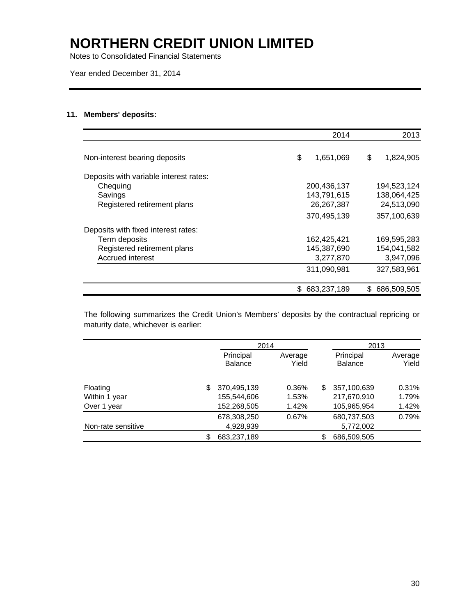Notes to Consolidated Financial Statements

Year ended December 31, 2014

### **11. Members' deposits:**

|                                        |    | 2014        |     | 2013        |
|----------------------------------------|----|-------------|-----|-------------|
| Non-interest bearing deposits          | \$ | 1,651,069   | \$  | 1,824,905   |
| Deposits with variable interest rates: |    |             |     |             |
| Chequing                               |    | 200,436,137 |     | 194,523,124 |
| Savings                                |    | 143,791,615 |     | 138,064,425 |
| Registered retirement plans            |    | 26,267,387  |     | 24,513,090  |
|                                        |    | 370,495,139 |     | 357,100,639 |
| Deposits with fixed interest rates:    |    |             |     |             |
| Term deposits                          |    | 162,425,421 |     | 169,595,283 |
| Registered retirement plans            |    | 145,387,690 |     | 154,041,582 |
| Accrued interest                       |    | 3,277,870   |     | 3,947,096   |
|                                        |    | 311,090,981 |     | 327,583,961 |
|                                        | S  | 683,237,189 | \$. | 686,509,505 |

The following summarizes the Credit Union's Members' deposits by the contractual repricing or maturity date, whichever is earlier:

|                    |    |                             | 2014             |    | 2013                        |                  |
|--------------------|----|-----------------------------|------------------|----|-----------------------------|------------------|
|                    |    | Principal<br><b>Balance</b> | Average<br>Yield |    | Principal<br><b>Balance</b> | Average<br>Yield |
|                    |    |                             |                  |    |                             |                  |
| Floating           | S  | 370,495,139                 | 0.36%            | \$ | 357,100,639                 | 0.31%            |
| Within 1 year      |    | 155,544,606                 | 1.53%            |    | 217,670,910                 | 1.79%            |
| Over 1 year        |    | 152,268,505                 | 1.42%            |    | 105,965,954                 | 1.42%            |
|                    |    | 678,308,250                 | 0.67%            |    | 680,737,503                 | 0.79%            |
| Non-rate sensitive |    | 4,928,939                   |                  |    | 5,772,002                   |                  |
|                    | \$ | 683,237,189                 |                  |    | 686,509,505                 |                  |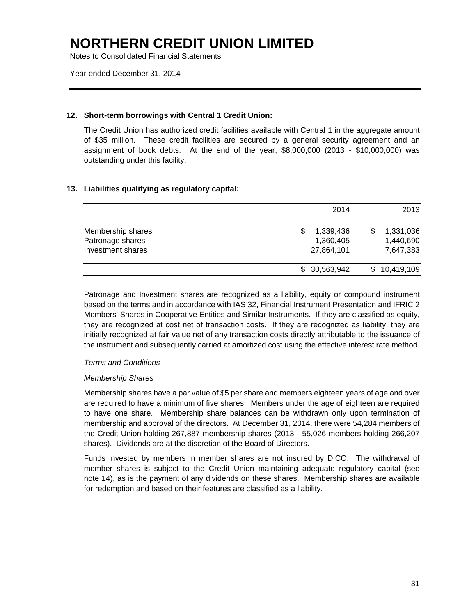Notes to Consolidated Financial Statements

Year ended December 31, 2014

### **12. Short-term borrowings with Central 1 Credit Union:**

The Credit Union has authorized credit facilities available with Central 1 in the aggregate amount of \$35 million. These credit facilities are secured by a general security agreement and an assignment of book debts. At the end of the year, \$8,000,000 (2013 - \$10,000,000) was outstanding under this facility.

### **13. Liabilities qualifying as regulatory capital:**

|                                                            | 2014                                      | 2013                                     |
|------------------------------------------------------------|-------------------------------------------|------------------------------------------|
| Membership shares<br>Patronage shares<br>Investment shares | 1,339,436<br>S<br>1,360,405<br>27,864,101 | 1,331,036<br>S<br>1,440,690<br>7,647,383 |
|                                                            | \$30,563,942                              | \$10,419,109                             |

Patronage and Investment shares are recognized as a liability, equity or compound instrument based on the terms and in accordance with IAS 32, Financial Instrument Presentation and IFRIC 2 Members' Shares in Cooperative Entities and Similar Instruments. If they are classified as equity, they are recognized at cost net of transaction costs. If they are recognized as liability, they are initially recognized at fair value net of any transaction costs directly attributable to the issuance of the instrument and subsequently carried at amortized cost using the effective interest rate method.

#### *Terms and Conditions*

#### *Membership Shares*

Membership shares have a par value of \$5 per share and members eighteen years of age and over are required to have a minimum of five shares. Members under the age of eighteen are required to have one share. Membership share balances can be withdrawn only upon termination of membership and approval of the directors. At December 31, 2014, there were 54,284 members of the Credit Union holding 267,887 membership shares (2013 - 55,026 members holding 266,207 shares). Dividends are at the discretion of the Board of Directors.

Funds invested by members in member shares are not insured by DICO. The withdrawal of member shares is subject to the Credit Union maintaining adequate regulatory capital (see note 14), as is the payment of any dividends on these shares. Membership shares are available for redemption and based on their features are classified as a liability.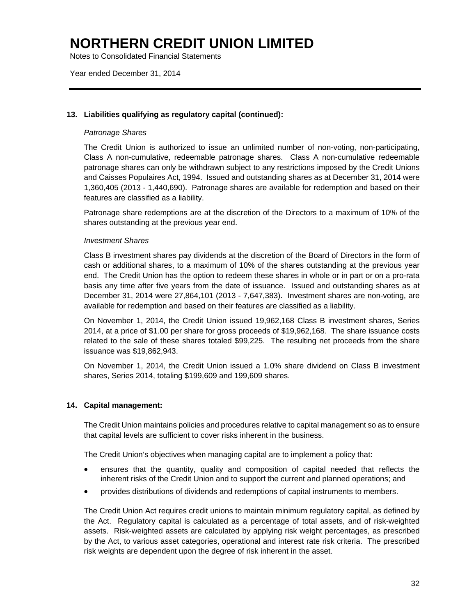Notes to Consolidated Financial Statements

Year ended December 31, 2014

### **13. Liabilities qualifying as regulatory capital (continued):**

#### *Patronage Shares*

The Credit Union is authorized to issue an unlimited number of non-voting, non-participating, Class A non-cumulative, redeemable patronage shares. Class A non-cumulative redeemable patronage shares can only be withdrawn subject to any restrictions imposed by the Credit Unions and Caisses Populaires Act, 1994. Issued and outstanding shares as at December 31, 2014 were 1,360,405 (2013 - 1,440,690). Patronage shares are available for redemption and based on their features are classified as a liability.

Patronage share redemptions are at the discretion of the Directors to a maximum of 10% of the shares outstanding at the previous year end.

### *Investment Shares*

Class B investment shares pay dividends at the discretion of the Board of Directors in the form of cash or additional shares, to a maximum of 10% of the shares outstanding at the previous year end. The Credit Union has the option to redeem these shares in whole or in part or on a pro-rata basis any time after five years from the date of issuance. Issued and outstanding shares as at December 31, 2014 were 27,864,101 (2013 - 7,647,383). Investment shares are non-voting, are available for redemption and based on their features are classified as a liability.

On November 1, 2014, the Credit Union issued 19,962,168 Class B investment shares, Series 2014, at a price of \$1.00 per share for gross proceeds of \$19,962,168. The share issuance costs related to the sale of these shares totaled \$99,225. The resulting net proceeds from the share issuance was \$19,862,943.

On November 1, 2014, the Credit Union issued a 1.0% share dividend on Class B investment shares, Series 2014, totaling \$199,609 and 199,609 shares.

#### **14. Capital management:**

The Credit Union maintains policies and procedures relative to capital management so as to ensure that capital levels are sufficient to cover risks inherent in the business.

The Credit Union's objectives when managing capital are to implement a policy that:

- ensures that the quantity, quality and composition of capital needed that reflects the inherent risks of the Credit Union and to support the current and planned operations; and
- provides distributions of dividends and redemptions of capital instruments to members.

The Credit Union Act requires credit unions to maintain minimum regulatory capital, as defined by the Act. Regulatory capital is calculated as a percentage of total assets, and of risk-weighted assets. Risk-weighted assets are calculated by applying risk weight percentages, as prescribed by the Act, to various asset categories, operational and interest rate risk criteria. The prescribed risk weights are dependent upon the degree of risk inherent in the asset.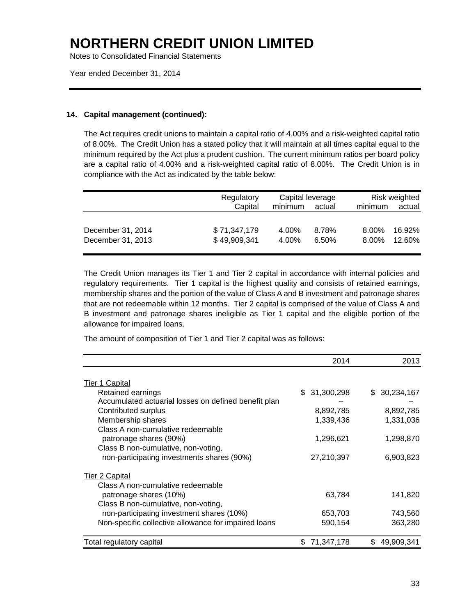Notes to Consolidated Financial Statements

Year ended December 31, 2014

### **14. Capital management (continued):**

The Act requires credit unions to maintain a capital ratio of 4.00% and a risk-weighted capital ratio of 8.00%. The Credit Union has a stated policy that it will maintain at all times capital equal to the minimum required by the Act plus a prudent cushion. The current minimum ratios per board policy are a capital ratio of 4.00% and a risk-weighted capital ratio of 8.00%. The Credit Union is in compliance with the Act as indicated by the table below:

|                   | Regulatory<br>Capital | Capital leverage<br>minimum<br>actual |       |       |        | minimum | Risk weighted<br>actual |
|-------------------|-----------------------|---------------------------------------|-------|-------|--------|---------|-------------------------|
| December 31, 2014 | \$71,347,179          | 4.00%                                 | 8.78% | 8.00% | 16.92% |         |                         |
| December 31, 2013 | \$49,909,341          | 4.00%                                 | 6.50% | 8.00% | 12.60% |         |                         |

The Credit Union manages its Tier 1 and Tier 2 capital in accordance with internal policies and regulatory requirements. Tier 1 capital is the highest quality and consists of retained earnings, membership shares and the portion of the value of Class A and B investment and patronage shares that are not redeemable within 12 months. Tier 2 capital is comprised of the value of Class A and B investment and patronage shares ineligible as Tier 1 capital and the eligible portion of the allowance for impaired loans.

The amount of composition of Tier 1 and Tier 2 capital was as follows:

|                                                      | 2014             | 2013            |
|------------------------------------------------------|------------------|-----------------|
| <b>Tier 1 Capital</b>                                |                  |                 |
| Retained earnings                                    | 31,300,298<br>S. | \$30,234,167    |
| Accumulated actuarial losses on defined benefit plan |                  |                 |
| Contributed surplus                                  | 8,892,785        | 8,892,785       |
| Membership shares                                    | 1,339,436        | 1,331,036       |
| Class A non-cumulative redeemable                    |                  |                 |
| patronage shares (90%)                               | 1,296,621        | 1,298,870       |
| Class B non-cumulative, non-voting,                  |                  |                 |
| non-participating investments shares (90%)           | 27,210,397       | 6,903,823       |
| Tier 2 Capital                                       |                  |                 |
| Class A non-cumulative redeemable                    |                  |                 |
| patronage shares (10%)                               | 63,784           | 141,820         |
| Class B non-cumulative, non-voting,                  |                  |                 |
| non-participating investment shares (10%)            | 653,703          | 743,560         |
| Non-specific collective allowance for impaired loans | 590,154          | 363,280         |
| Total regulatory capital                             | 71,347,178<br>S  | 49,909,341<br>S |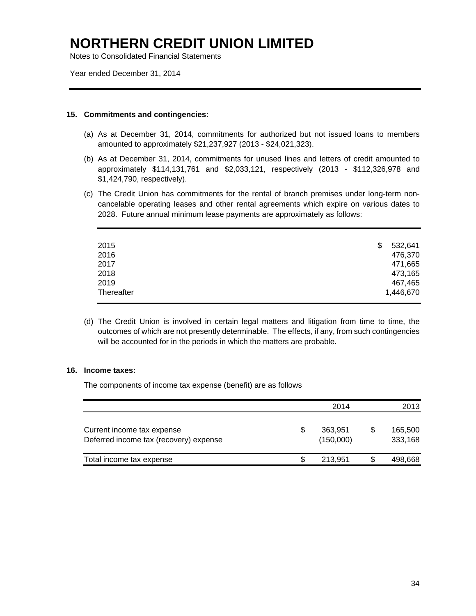Notes to Consolidated Financial Statements

Year ended December 31, 2014

#### **15. Commitments and contingencies:**

- (a) As at December 31, 2014, commitments for authorized but not issued loans to members amounted to approximately \$21,237,927 (2013 - \$24,021,323).
- (b) As at December 31, 2014, commitments for unused lines and letters of credit amounted to approximately \$114,131,761 and \$2,033,121, respectively (2013 - \$112,326,978 and \$1,424,790, respectively).
- (c) The Credit Union has commitments for the rental of branch premises under long-term noncancelable operating leases and other rental agreements which expire on various dates to 2028. Future annual minimum lease payments are approximately as follows:

| 2015       | 532,641<br>\$. |
|------------|----------------|
| 2016       | 476,370        |
| 2017       | 471,665        |
| 2018       | 473,165        |
| 2019       | 467,465        |
| Thereafter | 1,446,670      |
|            |                |

(d) The Credit Union is involved in certain legal matters and litigation from time to time, the outcomes of which are not presently determinable. The effects, if any, from such contingencies will be accounted for in the periods in which the matters are probable.

#### **16. Income taxes:**

The components of income tax expense (benefit) are as follows

|                                                                      | 2014 |                      |    | 2013               |
|----------------------------------------------------------------------|------|----------------------|----|--------------------|
| Current income tax expense<br>Deferred income tax (recovery) expense | \$   | 363.951<br>(150,000) | \$ | 165,500<br>333,168 |
| Total income tax expense                                             | \$   | 213.951              | S  | 498,668            |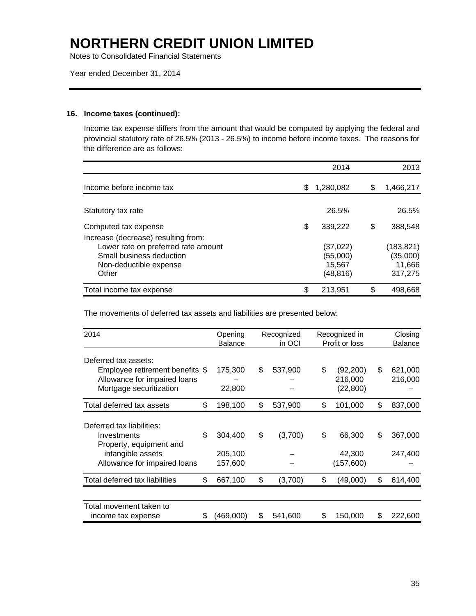Notes to Consolidated Financial Statements

Year ended December 31, 2014

#### **16. Income taxes (continued):**

Income tax expense differs from the amount that would be computed by applying the federal and provincial statutory rate of 26.5% (2013 - 26.5%) to income before income taxes. The reasons for the difference are as follows:

|                                                                                                                                           | 2014                                        | 2013                                       |
|-------------------------------------------------------------------------------------------------------------------------------------------|---------------------------------------------|--------------------------------------------|
| Income before income tax                                                                                                                  | \$<br>1,280,082                             | \$<br>1,466,217                            |
| Statutory tax rate                                                                                                                        | 26.5%                                       | 26.5%                                      |
| Computed tax expense                                                                                                                      | \$<br>339,222                               | \$<br>388,548                              |
| Increase (decrease) resulting from:<br>Lower rate on preferred rate amount<br>Small business deduction<br>Non-deductible expense<br>Other | (37,022)<br>(55,000)<br>15,567<br>(48, 816) | (183,821)<br>(35,000)<br>11,666<br>317,275 |
| Total income tax expense                                                                                                                  | \$<br>213,951                               | \$<br>498,668                              |

The movements of deferred tax assets and liabilities are presented below:

| 2014                                                                                                                     |     | Opening<br><b>Balance</b>     | Recognized<br>in OCI |    | Recognized in<br>Profit or loss  |    | Closing<br><b>Balance</b> |
|--------------------------------------------------------------------------------------------------------------------------|-----|-------------------------------|----------------------|----|----------------------------------|----|---------------------------|
| Deferred tax assets:<br>Employee retirement benefits \$<br>Allowance for impaired loans<br>Mortgage securitization       |     | 175,300<br>22,800             | \$<br>537,900        | \$ | (92,200)<br>216,000<br>(22, 800) | \$ | 621,000<br>216,000        |
| Total deferred tax assets                                                                                                | \$  | 198,100                       | \$<br>537,900        | \$ | 101,000                          | \$ | 837,000                   |
| Deferred tax liabilities:<br>Investments<br>Property, equipment and<br>intangible assets<br>Allowance for impaired loans | \$  | 304,400<br>205,100<br>157,600 | \$<br>(3,700)        | \$ | 66,300<br>42,300<br>(157,600)    | \$ | 367,000<br>247,400        |
| Total deferred tax liabilities                                                                                           | \$. | 667,100                       | \$<br>(3,700)        | S  | (49,000)                         | \$ | 614,400                   |
|                                                                                                                          |     |                               |                      |    |                                  |    |                           |
| Total movement taken to<br>income tax expense                                                                            | S   | (469,000)                     | \$<br>541,600        |    | 150,000                          | 5  | 222,600                   |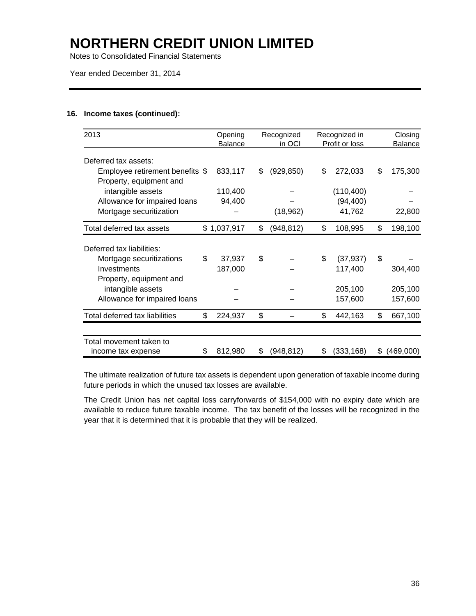Notes to Consolidated Financial Statements

Year ended December 31, 2014

### **16. Income taxes (continued):**

| 2013                                                       |    | Opening<br><b>Balance</b> |    | Recognized<br>in OCI |     | Recognized in<br>Profit or loss |     | Closing<br>Balance |
|------------------------------------------------------------|----|---------------------------|----|----------------------|-----|---------------------------------|-----|--------------------|
| Deferred tax assets:                                       |    |                           |    |                      |     |                                 |     |                    |
| Employee retirement benefits \$<br>Property, equipment and |    | 833,117                   | \$ | (929, 850)           | \$  | 272,033                         | \$  | 175,300            |
| intangible assets                                          |    | 110,400                   |    |                      |     | (110, 400)                      |     |                    |
| Allowance for impaired loans                               |    | 94,400                    |    |                      |     | (94,400)                        |     |                    |
| Mortgage securitization                                    |    |                           |    | (18, 962)            |     | 41,762                          |     | 22,800             |
| Total deferred tax assets                                  |    | \$1,037,917               | \$ | (948, 812)           | \$  | 108,995                         | \$  | 198,100            |
| Deferred tax liabilities:                                  |    |                           |    |                      |     |                                 |     |                    |
| Mortgage securitizations                                   | \$ | 37,937                    | \$ |                      | \$. | (37, 937)                       | \$  |                    |
| Investments                                                |    | 187,000                   |    |                      |     | 117,400                         |     | 304,400            |
| Property, equipment and                                    |    |                           |    |                      |     |                                 |     |                    |
| intangible assets                                          |    |                           |    |                      |     | 205,100                         |     | 205,100            |
| Allowance for impaired loans                               |    |                           |    |                      |     | 157,600                         |     | 157,600            |
| Total deferred tax liabilities                             | \$ | 224,937                   | \$ |                      | \$  | 442,163                         | \$  | 667,100            |
| Total movement taken to                                    |    |                           |    |                      |     |                                 |     |                    |
| income tax expense                                         | S  | 812,980                   | S  | (948, 812)           | \$  | (333, 168)                      | \$. | (469,000)          |

The ultimate realization of future tax assets is dependent upon generation of taxable income during future periods in which the unused tax losses are available.

The Credit Union has net capital loss carryforwards of \$154,000 with no expiry date which are available to reduce future taxable income. The tax benefit of the losses will be recognized in the year that it is determined that it is probable that they will be realized.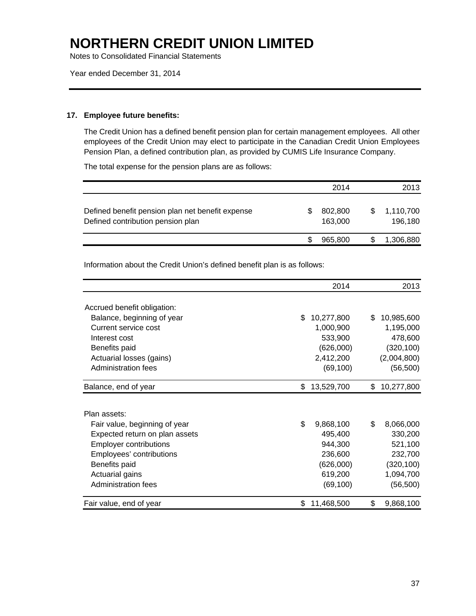Notes to Consolidated Financial Statements

Year ended December 31, 2014

### **17. Employee future benefits:**

The Credit Union has a defined benefit pension plan for certain management employees. All other employees of the Credit Union may elect to participate in the Canadian Credit Union Employees Pension Plan, a defined contribution plan, as provided by CUMIS Life Insurance Company.

The total expense for the pension plans are as follows:

|                                                                                       | 2014               | 2013                 |
|---------------------------------------------------------------------------------------|--------------------|----------------------|
| Defined benefit pension plan net benefit expense<br>Defined contribution pension plan | 802,800<br>163,000 | 1,110,700<br>196,180 |
|                                                                                       | 965,800            | 1,306,880            |

Information about the Credit Union's defined benefit plan is as follows:

|                                |     | 2014       | 2013             |
|--------------------------------|-----|------------|------------------|
| Accrued benefit obligation:    |     |            |                  |
| Balance, beginning of year     | \$  | 10,277,800 | \$<br>10,985,600 |
| Current service cost           |     | 1,000,900  | 1,195,000        |
| Interest cost                  |     | 533,900    | 478,600          |
| Benefits paid                  |     | (626,000)  | (320, 100)       |
| Actuarial losses (gains)       |     | 2,412,200  | (2,004,800)      |
| <b>Administration fees</b>     |     | (69, 100)  | (56, 500)        |
| Balance, end of year           | \$  | 13,529,700 | \$<br>10,277,800 |
|                                |     |            |                  |
| Plan assets:                   |     |            |                  |
| Fair value, beginning of year  | \$  | 9,868,100  | \$<br>8,066,000  |
| Expected return on plan assets |     | 495,400    | 330,200          |
| <b>Employer contributions</b>  |     | 944,300    | 521,100          |
| Employees' contributions       |     | 236,600    | 232,700          |
| Benefits paid                  |     | (626,000)  | (320, 100)       |
| Actuarial gains                |     | 619,200    | 1,094,700        |
| <b>Administration fees</b>     |     | (69, 100)  | (56, 500)        |
| Fair value, end of year        | \$. | 11,468,500 | \$<br>9,868,100  |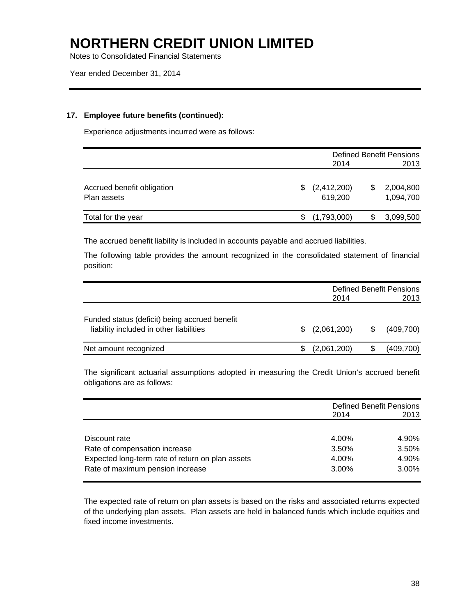Notes to Consolidated Financial Statements

### **17. Employee future benefits (continued):**

Experience adjustments incurred were as follows:

|                                           |  | 2014                   | Defined Benefit Pensions<br>2013 |  |  |
|-------------------------------------------|--|------------------------|----------------------------------|--|--|
| Accrued benefit obligation<br>Plan assets |  | (2,412,200)<br>619,200 | \$<br>2,004,800<br>1,094,700     |  |  |
| Total for the year                        |  | (1,793,000)            | \$<br>3,099,500                  |  |  |

The accrued benefit liability is included in accounts payable and accrued liabilities.

The following table provides the amount recognized in the consolidated statement of financial position:

|                                                                                          |    | 2014        | Defined Benefit Pensions<br>2013 |           |  |  |  |
|------------------------------------------------------------------------------------------|----|-------------|----------------------------------|-----------|--|--|--|
| Funded status (deficit) being accrued benefit<br>liability included in other liabilities | S. | (2,061,200) | S.                               | (409,700) |  |  |  |
| Net amount recognized                                                                    |    | (2,061,200) | \$                               | (409,700) |  |  |  |

The significant actuarial assumptions adopted in measuring the Credit Union's accrued benefit obligations are as follows:

|                                                  |          | Defined Benefit Pensions |  |
|--------------------------------------------------|----------|--------------------------|--|
|                                                  | 2014     | 2013                     |  |
|                                                  |          |                          |  |
| Discount rate                                    | 4.00%    | 4.90%                    |  |
| Rate of compensation increase                    | 3.50%    | 3.50%                    |  |
| Expected long-term rate of return on plan assets | 4.00%    | 4.90%                    |  |
| Rate of maximum pension increase                 | $3.00\%$ | 3.00%                    |  |

The expected rate of return on plan assets is based on the risks and associated returns expected of the underlying plan assets. Plan assets are held in balanced funds which include equities and fixed income investments.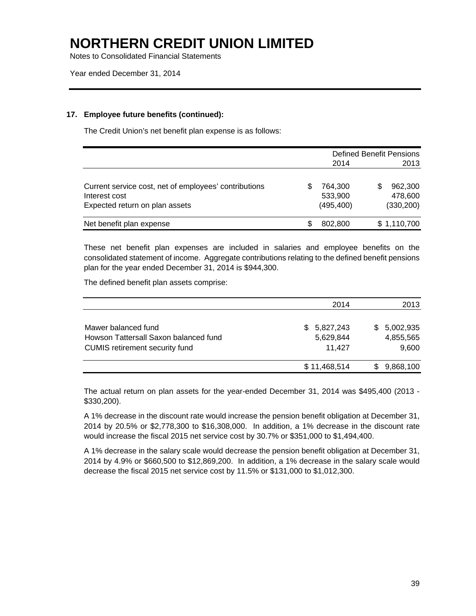Notes to Consolidated Financial Statements

### **17. Employee future benefits (continued):**

The Credit Union's net benefit plan expense is as follows:

|                                                                                                          |   | 2014                             | Defined Benefit Pensions<br>2013      |
|----------------------------------------------------------------------------------------------------------|---|----------------------------------|---------------------------------------|
| Current service cost, net of employees' contributions<br>Interest cost<br>Expected return on plan assets | 3 | 764.300<br>533,900<br>(495, 400) | 962.300<br>S<br>478,600<br>(330, 200) |
| Net benefit plan expense                                                                                 |   | 802,800                          | \$1,110,700                           |

These net benefit plan expenses are included in salaries and employee benefits on the consolidated statement of income. Aggregate contributions relating to the defined benefit pensions plan for the year ended December 31, 2014 is \$944,300.

The defined benefit plan assets comprise:

|                                       | 2014         | 2013        |
|---------------------------------------|--------------|-------------|
|                                       |              |             |
| Mawer balanced fund                   | \$5,827,243  | \$5,002,935 |
| Howson Tattersall Saxon balanced fund | 5,629,844    | 4,855,565   |
| <b>CUMIS</b> retirement security fund | 11,427       | 9,600       |
|                                       | \$11,468,514 | 9,868,100   |

The actual return on plan assets for the year-ended December 31, 2014 was \$495,400 (2013 - \$330,200).

A 1% decrease in the discount rate would increase the pension benefit obligation at December 31, 2014 by 20.5% or \$2,778,300 to \$16,308,000. In addition, a 1% decrease in the discount rate would increase the fiscal 2015 net service cost by 30.7% or \$351,000 to \$1,494,400.

A 1% decrease in the salary scale would decrease the pension benefit obligation at December 31, 2014 by 4.9% or \$660,500 to \$12,869,200. In addition, a 1% decrease in the salary scale would decrease the fiscal 2015 net service cost by 11.5% or \$131,000 to \$1,012,300.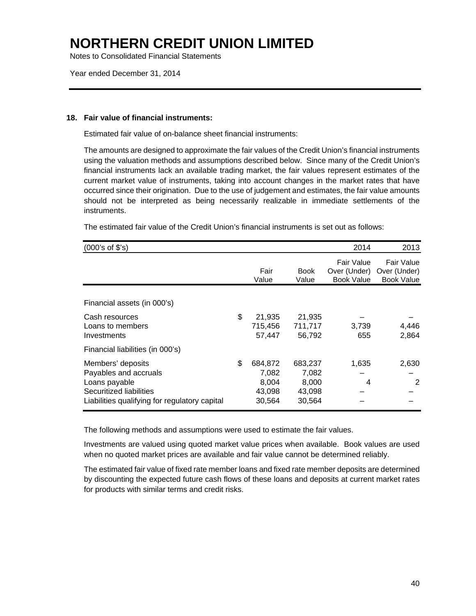Notes to Consolidated Financial Statements

Year ended December 31, 2014

### **18. Fair value of financial instruments:**

Estimated fair value of on-balance sheet financial instruments:

The amounts are designed to approximate the fair values of the Credit Union's financial instruments using the valuation methods and assumptions described below. Since many of the Credit Union's financial instruments lack an available trading market, the fair values represent estimates of the current market value of instruments, taking into account changes in the market rates that have occurred since their origination. Due to the use of judgement and estimates, the fair value amounts should not be interpreted as being necessarily realizable in immediate settlements of the instruments.

| (000's of \$'s)                                                                                                                         |                                                     |                                               | 2014                                     | 2013                                            |
|-----------------------------------------------------------------------------------------------------------------------------------------|-----------------------------------------------------|-----------------------------------------------|------------------------------------------|-------------------------------------------------|
|                                                                                                                                         | Fair<br>Value                                       | <b>Book</b><br>Value                          | Fair Value<br>Over (Under)<br>Book Value | Fair Value<br>Over (Under)<br><b>Book Value</b> |
| Financial assets (in 000's)                                                                                                             |                                                     |                                               |                                          |                                                 |
| Cash resources<br>Loans to members<br>Investments                                                                                       | \$<br>21,935<br>715,456<br>57,447                   | 21,935<br>711,717<br>56,792                   | 3,739<br>655                             | 4,446<br>2,864                                  |
| Financial liabilities (in 000's)                                                                                                        |                                                     |                                               |                                          |                                                 |
| Members' deposits<br>Payables and accruals<br>Loans payable<br>Securitized liabilities<br>Liabilities qualifying for regulatory capital | \$<br>684,872<br>7,082<br>8,004<br>43,098<br>30,564 | 683,237<br>7,082<br>8,000<br>43,098<br>30,564 | 1,635<br>4                               | 2,630<br>2                                      |

The estimated fair value of the Credit Union's financial instruments is set out as follows:

The following methods and assumptions were used to estimate the fair values.

Investments are valued using quoted market value prices when available. Book values are used when no quoted market prices are available and fair value cannot be determined reliably.

The estimated fair value of fixed rate member loans and fixed rate member deposits are determined by discounting the expected future cash flows of these loans and deposits at current market rates for products with similar terms and credit risks.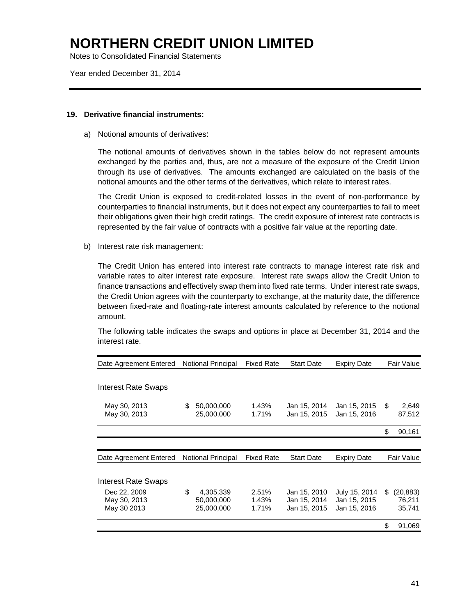Notes to Consolidated Financial Statements

Year ended December 31, 2014

#### **19. Derivative financial instruments:**

a) Notional amounts of derivatives:

The notional amounts of derivatives shown in the tables below do not represent amounts exchanged by the parties and, thus, are not a measure of the exposure of the Credit Union through its use of derivatives. The amounts exchanged are calculated on the basis of the notional amounts and the other terms of the derivatives, which relate to interest rates.

The Credit Union is exposed to credit-related losses in the event of non-performance by counterparties to financial instruments, but it does not expect any counterparties to fail to meet their obligations given their high credit ratings. The credit exposure of interest rate contracts is represented by the fair value of contracts with a positive fair value at the reporting date.

b) Interest rate risk management:

The Credit Union has entered into interest rate contracts to manage interest rate risk and variable rates to alter interest rate exposure. Interest rate swaps allow the Credit Union to finance transactions and effectively swap them into fixed rate terms. Under interest rate swaps, the Credit Union agrees with the counterparty to exchange, at the maturity date, the difference between fixed-rate and floating-rate interest amounts calculated by reference to the notional amount.

The following table indicates the swaps and options in place at December 31, 2014 and the interest rate.

| Date Agreement Entered                      |    | Notional Principal                    | <b>Fixed Rate</b>       | <b>Start Date</b>                            | <b>Expiry Date</b>                            | Fair Value |                               |
|---------------------------------------------|----|---------------------------------------|-------------------------|----------------------------------------------|-----------------------------------------------|------------|-------------------------------|
|                                             |    |                                       |                         |                                              |                                               |            |                               |
| Interest Rate Swaps                         |    |                                       |                         |                                              |                                               |            |                               |
| May 30, 2013<br>May 30, 2013                | S  | 50,000,000<br>25,000,000              | 1.43%<br>1.71%          | Jan 15, 2014<br>Jan 15, 2015                 | Jan 15, 2015<br>Jan 15, 2016                  | S          | 2,649<br>87,512               |
|                                             |    |                                       |                         |                                              |                                               | \$         | 90,161                        |
|                                             |    |                                       |                         |                                              |                                               |            |                               |
| Date Agreement Entered                      |    | Notional Principal                    | <b>Fixed Rate</b>       | <b>Start Date</b>                            | <b>Expiry Date</b>                            |            | Fair Value                    |
| Interest Rate Swaps                         |    |                                       |                         |                                              |                                               |            |                               |
| Dec 22, 2009<br>May 30, 2013<br>May 30 2013 | \$ | 4,305,339<br>50,000,000<br>25,000,000 | 2.51%<br>1.43%<br>1.71% | Jan 15, 2010<br>Jan 15, 2014<br>Jan 15, 2015 | July 15, 2014<br>Jan 15, 2015<br>Jan 15, 2016 | S          | (20, 883)<br>76,211<br>35,741 |
|                                             |    |                                       |                         |                                              |                                               | \$         | 91,069                        |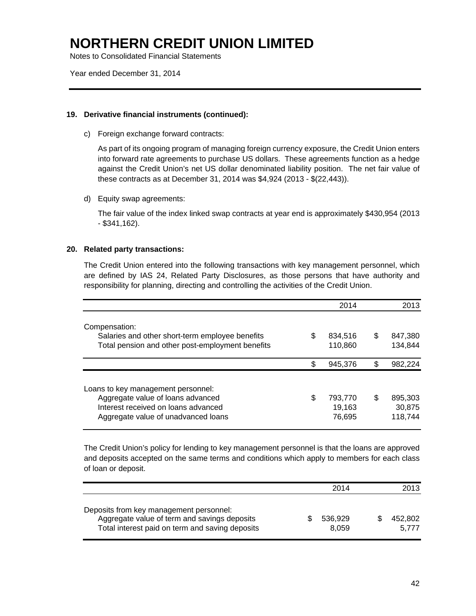Notes to Consolidated Financial Statements

Year ended December 31, 2014

### **19. Derivative financial instruments (continued):**

c) Foreign exchange forward contracts:

 As part of its ongoing program of managing foreign currency exposure, the Credit Union enters into forward rate agreements to purchase US dollars. These agreements function as a hedge against the Credit Union's net US dollar denominated liability position. The net fair value of these contracts as at December 31, 2014 was \$4,924 (2013 - \$(22,443)).

d) Equity swap agreements:

 The fair value of the index linked swap contracts at year end is approximately \$430,954 (2013 - \$341,162).

### **20. Related party transactions:**

The Credit Union entered into the following transactions with key management personnel, which are defined by IAS 24, Related Party Disclosures, as those persons that have authority and responsibility for planning, directing and controlling the activities of the Credit Union.

|                                                                                                                                                       | 2014                              |    | 2013                         |
|-------------------------------------------------------------------------------------------------------------------------------------------------------|-----------------------------------|----|------------------------------|
| Compensation:<br>Salaries and other short-term employee benefits                                                                                      | \$<br>834,516                     | S  | 847,380                      |
| Total pension and other post-employment benefits                                                                                                      | 110,860                           |    | 134,844                      |
|                                                                                                                                                       | \$<br>945.376                     | \$ | 982.224                      |
| Loans to key management personnel:<br>Aggregate value of loans advanced<br>Interest received on loans advanced<br>Aggregate value of unadvanced loans | \$<br>793,770<br>19,163<br>76,695 | \$ | 895,303<br>30,875<br>118,744 |

The Credit Union's policy for lending to key management personnel is that the loans are approved and deposits accepted on the same terms and conditions which apply to members for each class of loan or deposit.

|                                                                                                                                            | 2014                    | 2013             |
|--------------------------------------------------------------------------------------------------------------------------------------------|-------------------------|------------------|
| Deposits from key management personnel:<br>Aggregate value of term and savings deposits<br>Total interest paid on term and saving deposits | 536.929<br>SS.<br>8.059 | 452.802<br>5.777 |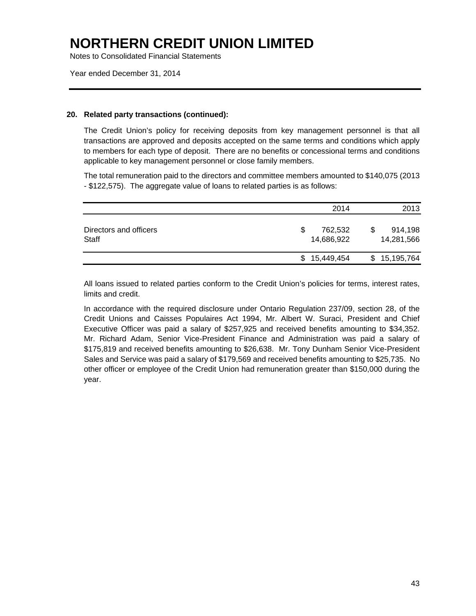Notes to Consolidated Financial Statements

Year ended December 31, 2014

#### **20. Related party transactions (continued):**

The Credit Union's policy for receiving deposits from key management personnel is that all transactions are approved and deposits accepted on the same terms and conditions which apply to members for each type of deposit. There are no benefits or concessional terms and conditions applicable to key management personnel or close family members.

 The total remuneration paid to the directors and committee members amounted to \$140,075 (2013 - \$122,575). The aggregate value of loans to related parties is as follows:

|                                 | 2014                       | 2013                  |
|---------------------------------|----------------------------|-----------------------|
| Directors and officers<br>Staff | S<br>762,532<br>14,686,922 | 914,198<br>14,281,566 |
|                                 | 15,449,454<br>\$.          | \$15,195,764          |

All loans issued to related parties conform to the Credit Union's policies for terms, interest rates, limits and credit.

 In accordance with the required disclosure under Ontario Regulation 237/09, section 28, of the Credit Unions and Caisses Populaires Act 1994, Mr. Albert W. Suraci, President and Chief Executive Officer was paid a salary of \$257,925 and received benefits amounting to \$34,352. Mr. Richard Adam, Senior Vice-President Finance and Administration was paid a salary of \$175,819 and received benefits amounting to \$26,638. Mr. Tony Dunham Senior Vice-President Sales and Service was paid a salary of \$179,569 and received benefits amounting to \$25,735. No other officer or employee of the Credit Union had remuneration greater than \$150,000 during the year.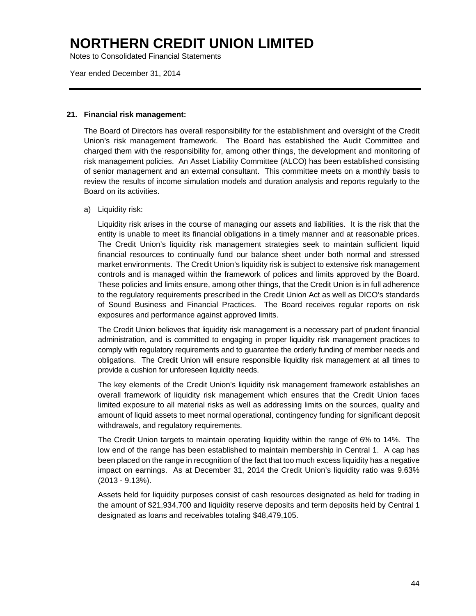Notes to Consolidated Financial Statements

Year ended December 31, 2014

#### **21. Financial risk management:**

The Board of Directors has overall responsibility for the establishment and oversight of the Credit Union's risk management framework. The Board has established the Audit Committee and charged them with the responsibility for, among other things, the development and monitoring of risk management policies. An Asset Liability Committee (ALCO) has been established consisting of senior management and an external consultant. This committee meets on a monthly basis to review the results of income simulation models and duration analysis and reports regularly to the Board on its activities.

### a) Liquidity risk:

Liquidity risk arises in the course of managing our assets and liabilities. It is the risk that the entity is unable to meet its financial obligations in a timely manner and at reasonable prices. The Credit Union's liquidity risk management strategies seek to maintain sufficient liquid financial resources to continually fund our balance sheet under both normal and stressed market environments. The Credit Union's liquidity risk is subject to extensive risk management controls and is managed within the framework of polices and limits approved by the Board. These policies and limits ensure, among other things, that the Credit Union is in full adherence to the regulatory requirements prescribed in the Credit Union Act as well as DICO's standards of Sound Business and Financial Practices. The Board receives regular reports on risk exposures and performance against approved limits.

The Credit Union believes that liquidity risk management is a necessary part of prudent financial administration, and is committed to engaging in proper liquidity risk management practices to comply with regulatory requirements and to guarantee the orderly funding of member needs and obligations. The Credit Union will ensure responsible liquidity risk management at all times to provide a cushion for unforeseen liquidity needs.

The key elements of the Credit Union's liquidity risk management framework establishes an overall framework of liquidity risk management which ensures that the Credit Union faces limited exposure to all material risks as well as addressing limits on the sources, quality and amount of liquid assets to meet normal operational, contingency funding for significant deposit withdrawals, and regulatory requirements.

The Credit Union targets to maintain operating liquidity within the range of 6% to 14%. The low end of the range has been established to maintain membership in Central 1. A cap has been placed on the range in recognition of the fact that too much excess liquidity has a negative impact on earnings. As at December 31, 2014 the Credit Union's liquidity ratio was 9.63% (2013 - 9.13%).

Assets held for liquidity purposes consist of cash resources designated as held for trading in the amount of \$21,934,700 and liquidity reserve deposits and term deposits held by Central 1 designated as loans and receivables totaling \$48,479,105.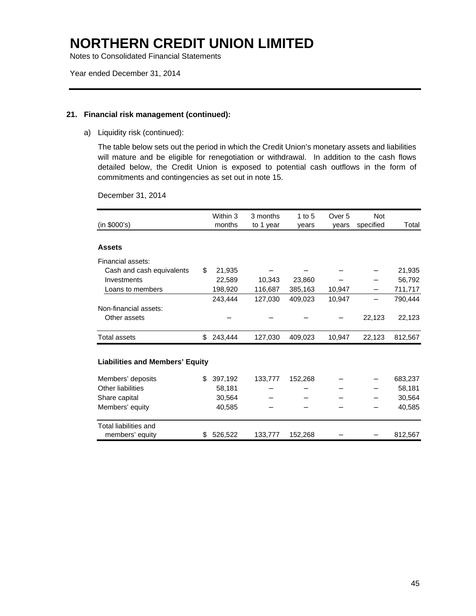Notes to Consolidated Financial Statements

Year ended December 31, 2014

#### **21. Financial risk management (continued):**

a) Liquidity risk (continued):

The table below sets out the period in which the Credit Union's monetary assets and liabilities will mature and be eligible for renegotiation or withdrawal. In addition to the cash flows detailed below, the Credit Union is exposed to potential cash outflows in the form of commitments and contingencies as set out in note 15.

December 31, 2014

|                                        | Within 3 | 3 months  | 1 to $5$ | Over <sub>5</sub> | Not       |         |
|----------------------------------------|----------|-----------|----------|-------------------|-----------|---------|
| (in \$000's)                           | months   | to 1 year | years    | vears             | specified | Total   |
|                                        |          |           |          |                   |           |         |
| <b>Assets</b>                          |          |           |          |                   |           |         |
| Financial assets:                      |          |           |          |                   |           |         |
| Cash and cash equivalents<br>\$        | 21,935   |           |          |                   |           | 21,935  |
| Investments                            | 22,589   | 10,343    | 23,860   |                   |           | 56,792  |
| Loans to members                       | 198,920  | 116,687   | 385,163  | 10,947            |           | 711,717 |
|                                        | 243,444  | 127,030   | 409,023  | 10,947            |           | 790,444 |
| Non-financial assets:                  |          |           |          |                   |           |         |
| Other assets                           |          |           |          |                   | 22,123    | 22,123  |
|                                        |          |           |          |                   |           |         |
| <b>Total assets</b><br>\$              | 243,444  | 127,030   | 409,023  | 10,947            | 22,123    | 812,567 |
|                                        |          |           |          |                   |           |         |
| <b>Liabilities and Members' Equity</b> |          |           |          |                   |           |         |
| Members' deposits<br>\$                | 397,192  | 133,777   | 152,268  |                   |           | 683,237 |
| <b>Other liabilities</b>               | 58,181   |           |          |                   |           | 58,181  |
| Share capital                          | 30,564   |           |          |                   |           | 30,564  |
| Members' equity                        | 40,585   |           |          |                   |           | 40,585  |
| Total liabilities and                  |          |           |          |                   |           |         |
| members' equity<br>\$                  | 526,522  | 133.777   | 152,268  |                   |           | 812,567 |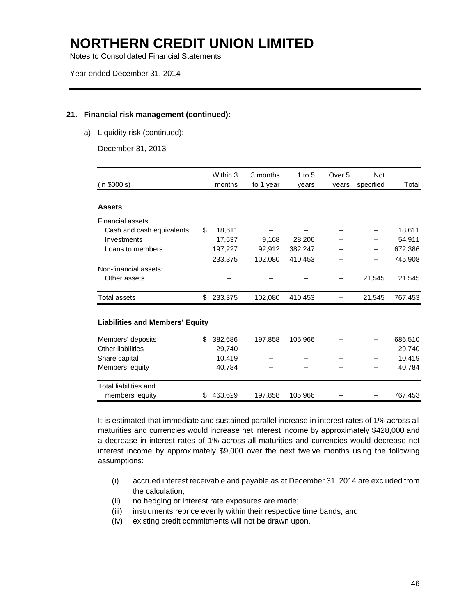Notes to Consolidated Financial Statements

Year ended December 31, 2014

### **21. Financial risk management (continued):**

a) Liquidity risk (continued):

December 31, 2013

|                                        | Within 3      | 3 months  | 1 to $5$ | Over 5 | <b>Not</b> |         |
|----------------------------------------|---------------|-----------|----------|--------|------------|---------|
| (in \$000's)                           | months        | to 1 year | years    | years  | specified  | Total   |
|                                        |               |           |          |        |            |         |
| <b>Assets</b>                          |               |           |          |        |            |         |
| Financial assets:                      |               |           |          |        |            |         |
| Cash and cash equivalents              | \$<br>18,611  |           |          |        |            | 18,611  |
| Investments                            | 17,537        | 9,168     | 28,206   |        |            | 54,911  |
| Loans to members                       | 197,227       | 92,912    | 382,247  |        |            | 672,386 |
|                                        | 233,375       | 102,080   | 410,453  |        |            | 745,908 |
| Non-financial assets:                  |               |           |          |        |            |         |
| Other assets                           |               |           |          |        | 21,545     | 21,545  |
|                                        |               |           |          |        |            |         |
| Total assets                           | \$<br>233,375 | 102,080   | 410,453  |        | 21,545     | 767,453 |
| <b>Liabilities and Members' Equity</b> |               |           |          |        |            |         |
| Members' deposits                      | 382,686<br>S  | 197,858   | 105,966  |        |            | 686,510 |
| Other liabilities                      | 29,740        |           |          |        |            | 29,740  |
| Share capital                          | 10,419        |           |          |        |            | 10,419  |
| Members' equity                        | 40,784        |           |          |        |            | 40,784  |
| Total liabilities and                  |               |           |          |        |            |         |
| members' equity                        | 463,629<br>\$ | 197,858   | 105,966  |        |            | 767,453 |

It is estimated that immediate and sustained parallel increase in interest rates of 1% across all maturities and currencies would increase net interest income by approximately \$428,000 and a decrease in interest rates of 1% across all maturities and currencies would decrease net interest income by approximately \$9,000 over the next twelve months using the following assumptions:

- (i) accrued interest receivable and payable as at December 31, 2014 are excluded from the calculation;
- (ii) no hedging or interest rate exposures are made;
- (iii) instruments reprice evenly within their respective time bands, and;
- (iv) existing credit commitments will not be drawn upon.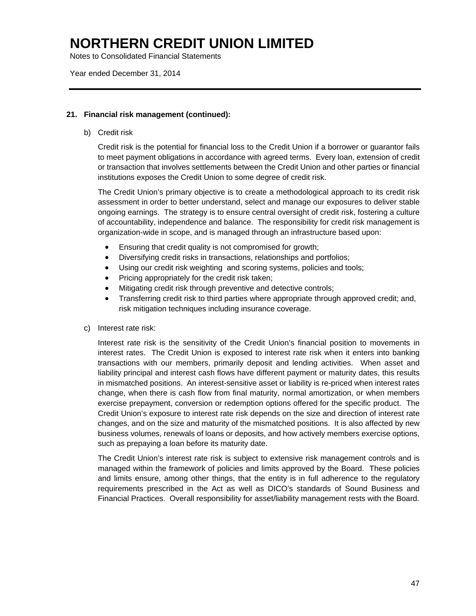Notes to Consolidated Financial Statements

Year ended December 31, 2014

### **21. Financial risk management (continued):**

b) Credit risk

Credit risk is the potential for financial loss to the Credit Union if a borrower or guarantor fails to meet payment obligations in accordance with agreed terms. Every loan, extension of credit or transaction that involves settlements between the Credit Union and other parties or financial institutions exposes the Credit Union to some degree of credit risk.

The Credit Union's primary objective is to create a methodological approach to its credit risk assessment in order to better understand, select and manage our exposures to deliver stable ongoing earnings. The strategy is to ensure central oversight of credit risk, fostering a culture of accountability, independence and balance. The responsibility for credit risk management is organization-wide in scope, and is managed through an infrastructure based upon:

- Ensuring that credit quality is not compromised for growth;
- Diversifying credit risks in transactions, relationships and portfolios;
- Using our credit risk weighting and scoring systems, policies and tools;
- Pricing appropriately for the credit risk taken;
- Mitigating credit risk through preventive and detective controls;
- Transferring credit risk to third parties where appropriate through approved credit; and, risk mitigation techniques including insurance coverage.
- c) Interest rate risk:

Interest rate risk is the sensitivity of the Credit Union's financial position to movements in interest rates. The Credit Union is exposed to interest rate risk when it enters into banking transactions with our members, primarily deposit and lending activities. When asset and liability principal and interest cash flows have different payment or maturity dates, this results in mismatched positions. An interest-sensitive asset or liability is re-priced when interest rates change, when there is cash flow from final maturity, normal amortization, or when members exercise prepayment, conversion or redemption options offered for the specific product. The Credit Union's exposure to interest rate risk depends on the size and direction of interest rate changes, and on the size and maturity of the mismatched positions. It is also affected by new business volumes, renewals of loans or deposits, and how actively members exercise options, such as prepaying a loan before its maturity date.

The Credit Union's interest rate risk is subject to extensive risk management controls and is managed within the framework of policies and limits approved by the Board. These policies and limits ensure, among other things, that the entity is in full adherence to the regulatory requirements prescribed in the Act as well as DICO's standards of Sound Business and Financial Practices. Overall responsibility for asset/liability management rests with the Board.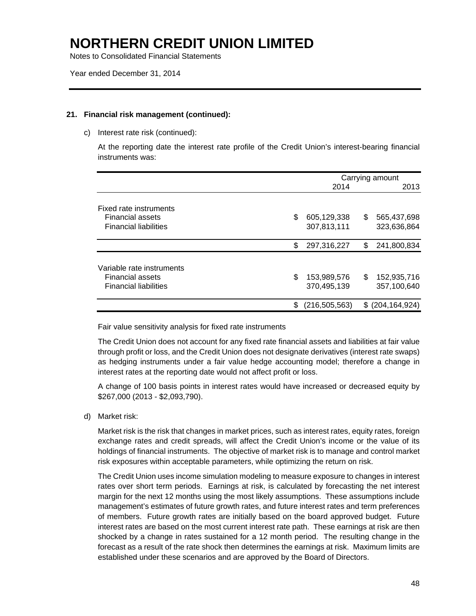Notes to Consolidated Financial Statements

#### **21. Financial risk management (continued):**

c) Interest rate risk (continued):

At the reporting date the interest rate profile of the Credit Union's interest-bearing financial instruments was:

|                                                                                      |    | Carrying amount            |      |                            |  |
|--------------------------------------------------------------------------------------|----|----------------------------|------|----------------------------|--|
|                                                                                      |    | 2014                       | 2013 |                            |  |
| Fixed rate instruments<br>Financial assets<br><b>Financial liabilities</b>           | \$ | 605,129,338<br>307,813,111 | \$   | 565,437,698<br>323,636,864 |  |
|                                                                                      | \$ | 297,316,227                | \$   | 241,800,834                |  |
| Variable rate instruments<br><b>Financial assets</b><br><b>Financial liabilities</b> | \$ | 153,989,576<br>370,495,139 | \$   | 152,935,716<br>357,100,640 |  |
|                                                                                      | S  | (216, 505, 563)            | S    | (204, 164, 924)            |  |

Fair value sensitivity analysis for fixed rate instruments

The Credit Union does not account for any fixed rate financial assets and liabilities at fair value through profit or loss, and the Credit Union does not designate derivatives (interest rate swaps) as hedging instruments under a fair value hedge accounting model; therefore a change in interest rates at the reporting date would not affect profit or loss.

A change of 100 basis points in interest rates would have increased or decreased equity by \$267,000 (2013 - \$2,093,790).

d) Market risk:

Market risk is the risk that changes in market prices, such as interest rates, equity rates, foreign exchange rates and credit spreads, will affect the Credit Union's income or the value of its holdings of financial instruments. The objective of market risk is to manage and control market risk exposures within acceptable parameters, while optimizing the return on risk.

The Credit Union uses income simulation modeling to measure exposure to changes in interest rates over short term periods. Earnings at risk, is calculated by forecasting the net interest margin for the next 12 months using the most likely assumptions. These assumptions include management's estimates of future growth rates, and future interest rates and term preferences of members. Future growth rates are initially based on the board approved budget. Future interest rates are based on the most current interest rate path. These earnings at risk are then shocked by a change in rates sustained for a 12 month period. The resulting change in the forecast as a result of the rate shock then determines the earnings at risk. Maximum limits are established under these scenarios and are approved by the Board of Directors.